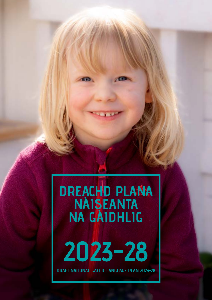# **DREACHD PLANA NÀISEANTA NA GÀIDHLIG**

**2023-28**

**DRAFT NATIONAL GAELIC LANGUAGE PLAN 2023-28**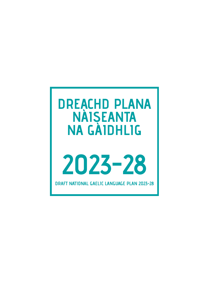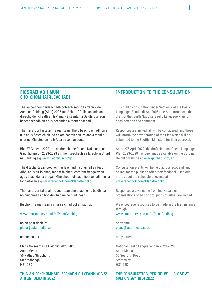#### **FIOSRACHADH MUN CHO-CHOMHAIRLEACHADH**

Tha an co-chomhairleachadh poblach seo fo Earrann 2 de Achd na Gàidhlig (Alba) 2005 (an Achd) a' foillseachadh an dreachd den cheathramh Plana Nàiseanta na Gàidhlig airson beachdachadh air agus beachdan a thoirt seachad.

Thathar a' cur fàilte air freagairtean. Thèid beachdachadh orra uile agus fiosraichidh iad an ath eagran den Phlana a thèid a chur gu Ministearan na h-Alba airson an aonta.

Bho 27 Giblean 2022, tha an dreachd de Phlana Nàiseanta na Gàidhlig airson 2023-2028 air fhoillseachadh air làrach-lìn Bhòrd na Gàidhlig aig [www.gaidhlig.scot/gd](https://www.gaidhlig.scot/gd/)

Thèid tachartasan co-chomhairleachaidh a chumail air feadh Alba, agus air-loidhne, far am faighear cothrom freagairtean agus beachdan a thogail. Gheibhear tuilleadh fiosrachadh mu na tachartasan aig [www.facebook.com/PlanaGaidhlig](https://www.facebook.com/PlanaGaidhlig)

Thathar a' cur fàilte air freagairtean bho dhaoine no buidhnean, no buidhnean ad hoc de dhaoine no buidhnean.

Bu chòir freagairtean a chur sa chiad dol a-mach gu:

[www.smartsurvey.co.uk/s/PlanaGaidhlig](http://www.smartsurvey.co.uk/s/PlanaGaidhlig)

no air post-dealain: [plana@astarmedia.scot](mailto:plana@astarmedia.scot);

no ann an litir:

Plana Nàiseanta na Gàidhlig 2023-2028 Astar Media 56 Rathad Shìophoirt **Steòrnabhagh** HS1 2SD

#### **THIG AN CO-CHOMHAIRLEACHADH GU CEANN AIG 5F AIR 26 IUCHAIR 2022.**

#### **INTRODUCTION TO THE CONSULTATION**

This public consultation under Section 2 of the Gaelic Language (Scotland) Act 2005 (the Act) introduces the draft of the fourth National Gaelic Language Plan for consideration and comment.

Responses are invited, all will be considered, and these will inform the next iteration of the Plan which will be submitted to the Scottish Ministers for their approval.

As of 27<sup>th</sup> April 2022, the draft National Gaelic Language Plan 2023-2028 has been made available on the Bòrd na Gàidhlig website at [www.gaidhlig.scot/en](https://www.gaidhlig.scot/en/)

Consultation events will be held across Scotland, and online, for the public to offer their feedback. Find out more about the schedule of events at [www.facebook.com/PlanaGaidhlig](https://www.facebook.com/PlanaGaidhlig)

Responses are welcome from individuals or organisations or ad hoc groupings of either are invited.

We encourage responses to be made in the first instance through:

[www.smartsurvey.co.uk/s/PlanaGaidhlig](http://www.smartsurvey.co.uk/s/PlanaGaidhlig)

or by email: [plana@astarmedia.scot](mailto:plana@astarmedia.scot);

or by letter;

National Gaelic Language Plan 2023-2028 Astar Media 56 Seaforth Road Stornoway HS1 2SD

#### **THE CONSULTATION PERIOD WILL CLOSE AT 5PM ON 26TH JULY 2022**.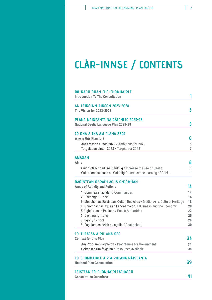## **CLÀR-INNSE / CONTENTS**

| AN LÈIRSINN AIRSON 2023-2028                                                                                                     |                     |
|----------------------------------------------------------------------------------------------------------------------------------|---------------------|
| <b>The Vision for 2023-2028</b>                                                                                                  | 3                   |
| PLANA NÀISEANTA NA GÀIDHLIG 2023-28<br><b>National Gaelic Language Plan 2023-28</b>                                              | 5                   |
| CÒ DHA A THA AM PLANA SEO?<br>Who is this Plan for?                                                                              | 6                   |
| Ard-amasan airson 2028 / Ambitions for 2028<br>Targaidean airson 2028 / Targets for 2028                                         | 6<br>$\overline{7}$ |
| <b>AMASAN</b><br><b>Aims</b>                                                                                                     | 8                   |
| Cuir ri cleachdadh na Gàidhlig / Increase the use of Gaelic<br>Cuir ri ionnsachadh na Gàidhlig / Increase the learning of Gaelic | 8<br>11             |
| RAOINTEAN OBRACH AGUS GNÌOMHAN                                                                                                   |                     |
| <b>Areas of Activity and Actions</b>                                                                                             | 13                  |
| 1. Coimhearsnachdan / Communities                                                                                                | 14                  |
| 2. Dachaigh / Home<br>3. Meadhanan, Ealainean, Cultar, Dualchas / Media, Arts, Culture, Heritage                                 | 16<br>18            |
| 4. Gnìomhachas agus an Eaconamaidh / Business and the Economy                                                                    | 20                  |
| 5. Ughdarrasan Poblach / Public Authorities                                                                                      | 22                  |
| 6. Dachaigh / Home                                                                                                               | 25                  |
| 7. Sgoil / School<br>8. Foghlam às dèidh na sgoile / Post-school                                                                 | 28<br>30            |
| <b>CO-THEACSA A' PHLANA SEO</b>                                                                                                  |                     |
| <b>Context for this Plan</b>                                                                                                     | 33                  |
| Am Prògram Riaghlaidh / Programme for Government                                                                                 | 34                  |
| Goireasan rim faighinn / Resources available                                                                                     | 38                  |
| <b>CO-CHOMHAIRLE AIR A PHLANA NÀISEANTA</b><br><b>National Plan Consultation</b>                                                 | 39                  |
|                                                                                                                                  |                     |
| <b>CEISTEAN CO-CHOMHAIRLEACHAIDH</b>                                                                                             |                     |
| <b>Consultation Questions</b>                                                                                                    | 41                  |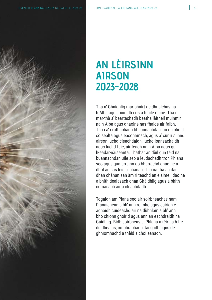

### **AN LÈIRSINN AIRSON 2023-2028**

Tha a' Ghàidhlig mar phàirt de dhualchas na h-Alba agus buinidh i ris a h-uile duine. Tha i mar-thà a' beartachadh beatha làitheil muinntir na h-Alba agus dhaoine nas fhaide air falbh. Tha i a' cruthachadh bhuannachdan, an dà chuid sòisealta agus eaconamach, agus a' cur ri sunnd airson luchd-cleachdaidh, luchd-ionnsachaidh agus luchd-taic, air feadh na h-Alba agus gu h-eadar-nàiseanta. Thathar an dùil gun tèid na buannachdan uile seo a leudachadh tron Phlana seo agus gun urrainn do bharrachd dhaoine a dhol an sàs leis a' chànan. Tha na tha an dàn dhan chànan san àm ri teachd an eisimeil daoine a bhith dealasach dhan Ghàidhlig agus a bhith comasach air a cleachdadh.

Togaidh am Plana seo air soirbheachas nam Planaichean a bh' ann roimhe agus cuiridh e aghaidh cuideachd air na dùbhlain a bh' ann bho chionn ghoirid agus ann an eachdraidh na Gàidhlig. Bidh soirbheas a' Phlana a rèir na h-ìre de dhealas, co-obrachadh, tasgadh agus de ghnìomhachd a thèid a choileanadh.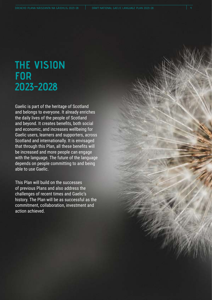## **THE VISION FOR 2023-2028**

Gaelic is part of the heritage of Scotland and belongs to everyone. It already enriches the daily lives of the people of Scotland and beyond. It creates benefits, both social and economic, and increases wellbeing for Gaelic users, learners and supporters, across Scotland and internationally. It is envisaged that through this Plan, all these benefits will be increased and more people can engage with the language. The future of the language depends on people committing to and being able to use Gaelic.

This Plan will build on the successes of previous Plans and also address the challenges of recent times and Gaelic's history. The Plan will be as successful as the commitment, collaboration, investment and action achieved.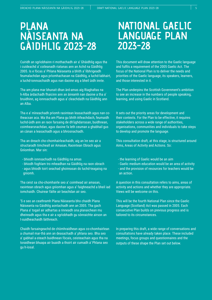# **PLANA NÀISEANTA NA GÀIDHLIG 2023-28**

Cuiridh an sgrìobhainn ri mothachadh air a' Ghàidhlig agus tha i cuideachd a' coileanadh riatanas ann an Achd na Gàidhlig 2005. Is e fòcas a' Phlana Nàiseanta a bhith a' lìbhrigeadh feumalachdan agus prìomhachasan na Gàidhlig, a luchd-labhairt, a luchd-ionnsachaidh agus nan daoine aig a bheil ùidh innte.

Tha am plana mar bhunait dhan àrd-amas aig Riaghaltas na h-Alba àrdachadh fhaicinn ann an àireamh nan daoine a tha a' bruidhinn, ag ionnsachadh agus a' cleachdadh na Gàidhlig ann an Alba.

Tha e a' mìneachadh prìomh raointean leasachaidh agus nan cotheacsan aca. Ma tha am Plana gu bhith èifeachdach, feumaidh luchd-ùidh ann an raon farsaing de dh'ùghdarrasan, buidhnean, coimhearsnachdan, agus daoine fa leth ceuman a ghabhail gus an cànan a leasachadh agus a bhrosnachadh.

Tha an dreach cho-chomhairleachaidh, aig an ìre seo air a structaradh timcheall air Amasan, Raointean Obrach agus Gnìomhan. Mar sin:

- bhiodh ionnsachadh na Gàidhlig na amas
- bhiodh foghlam tro mheadhan na Gàidhlig na raon obrach - agus bhiodh toirt seachad ghoireasan do luchd-teagaisg na gnìomh.

Tha ceist sa cho-chomhairle seo a' coimhead air amasan, raointean obrach agus gnìomhan agus a' faighneachd a bheil iad iomchaidh. Chuirear fàilte air beachdan air seo.

'S e seo an ceathramh Plana Nàiseanta bho chaidh Plana Nàiseanta na Gàidhlig aontachadh ann an 2005. Tha gach Plana a' togail air adhartas a rinneadh sna planaichean mu dheireadh agus tha e air a sgrìobhadh gu sònraichte airson an t-suidheachaidh làithreach.

Chaidh farsaingeachd de chòmhraidhean agus co-chomhairlean a chumail mar-thà ann an deasachadh a' phlana seo. Bha seo a' gabhail a-steach buidhnean fòcais, ceisteachain agus tha na toraidhean bhuapa air buaidh a thoirt air cumadh a' Phlana seo gu h-ìosal.

### **NATIONAL GAELIC LANGUAGE PLAN 2023-28**

This document will draw attention to the Gaelic language and fulfils a requirement of the 2005 Gaelic Act. The focus of the National Plan is to deliver the needs and priorities of the Gaelic language, its speakers, learners, and those interested in it.

The Plan underpins the Scottish Government's ambition to see an increase in the numbers of people speaking, learning, and using Gaelic in Scotland.

It sets out the priority areas for development and their contexts. For the Plan to be effective, it requires stakeholders across a wide range of authorities, organisations, communities and individuals to take steps to develop and promote the language.

This consultation draft, at this stage, is structured around Aims, Areas of Activity and Actions. So:

- the learning of Gaelic would be an aim
- Gaelic medium education would be an area of activity
- and the provision of resources for teachers would be
- an action.

A question in this consultation refers to aims, areas of activity and actions and whether they are appropriate. Views will be welcome on this.

This will be the fourth National Plan since the Gaelic Language (Scotland) Act was passed in 2005. Each consecutive Plan builds on previous progress and is tailored to its circumstances.

In preparing this draft, a wide range of conversations and consultations have already taken place. These included meetings, focus groups and questionnaires and the outputs of these shape the Plan set out below.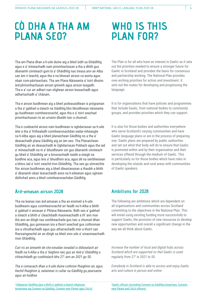### **CÒ DHA A THA AM PLANA SEO?**

### **WHO IS THIS PLAN FOR?**

Tha am Plana dhan a h-uile duine aig a bheil ùidh sa Ghàidhlig agus e a' mìneachadh nam prìomhachasan a tha a dhìth gus dèanamh cinnteach gum bi a' Ghàidhlig nas treasa ann an Alba san àm ri teachd, agus tha e na bhunait airson co-aonta agus obair com-pàirteachais. Tha am Plana Nàiseanta a' toirt dhuinn àrd-phrìomhachasan airson gnìomh agus airson tasgadh. Tha e a' cur air adhart nan slighean airson leasachadh agus adhartachadh a' chànain.

Tha e airson buidhnean aig a bheil poileasaidhean is prògraman a tha a' gabhail a-steach na Gàidhlig bho bhuidhnean nàiseanta gu buidhnean coimhearsnachd, agus tha e a' toirt seachad prìomhachasan ris an urrainn dhaibh taic a chumail.

Tha e cuideachd airson nam buidhnean is ùghdarrasan sa h-uile àite a tha a' frithealadh coimhearsnachdan eadar-mheasgte na h-Alba agus aig a bheil planaichean Gàidhlig no a tha a' deasachadh plana Gàidhlig aig an àm seo. Tha Planaichean Gàidhlig air an deasachadh le Ùghdarrasan Poblach agus tha iad a' mìneachadh na nì a' bhuidheann sin gus dèanamh cinnteach gu bheil a' Ghàidhlig air a brosnachadh taobh a-staigh na buidhne aca, agus leis a' bhuidhinn aca, agus dè na seirbheisean a bhios iad a' toirt seachd tron Ghàidhlig. Tha seo gu sònraichte fìor airson buidhnean aig a bheil dleastanasan a thaobh a bhith a' dèanamh obair leasachaidh anns na h-eileanan agus sgìrean dùthchail anns a bheil coimhearsnachdan Gàidhlig.

### **Àrd-amasan airson 2028**

Tha na leanas nan àrd-amasan a tha an eisimeil a h-uile buidheann agus coimhearsnachd air feadh na h-Alba a bhith a' gabhail ri amasan a' Phlana Nàiseanta. Bidh seo a' gabhail a steach a bhith a' cleachdadh maoineachadh a th' ann marthà ann an dòigh nas soirbheachaile gus taic a chumail dhan Ghàidhlig, gus goireasan ùra a thoirt seachad gus cothroman ùra a chruthachadh agus gus atharrachadh mòr a thoirt san fharsaingeachd air an dòigh sa bheil sinn uile a' smaoineachadh mun Ghàidhlig.

*Cuir ris an àireamh de cho-ionadan ionadail is didseatach air feadh na h-Alba a tha a' faighinn taic gus an tèid a' Ghàidhlig a chleachdadh gu cunbhalach bho 271 ann an 2021 gu 50.* 

*Tha e comasach dhan a h-uile duine cothrom fhaighinn air, agus tlachd fhaighinn à, ealainean is cultar na Gàidhlig gu pearsanta agus air-loidhne*

<sup>1</sup>[Oifigearan Gàidhlig \(gun a bhith a' gabhail a-steach oifigearan](https://www.google.com/maps/d/viewer?mid=1YAD20IpYaJs7mrx241wirHlbvooupI3K&ll=57.20061560160548%2C-5.338292049999982&z=7)  [Iomairtean aig Comunn na Gàidhlig, Comann nam Pàrant agus CALA\)](https://www.google.com/maps/d/viewer?mid=1YAD20IpYaJs7mrx241wirHlbvooupI3K&ll=57.20061560160548%2C-5.338292049999982&z=7)

The Plan is for all who have an interest in Gaelic as it sets out the priorities needed to ensure a stronger future for Gaelic in Scotland and provides the basis for consensus and partnership working. The National Plan provides over-arching priorities for action and investment. It sets out the routes for developing and progressing the language.

It is for organisations that have policies and programmes that include Gaelic, from national bodies to community groups, and provides priorities which they can support.

It is also for those bodies and authorities everywhere who serve Scotland's varying communities and have Gaelic language plans or are in the process of preparing one. Gaelic plans are prepared by public authorities and set out what that body will do to ensure that Gaelic is promoted within and by their organisation and their services offered through the medium of Gaelic. This is particularly so for those bodies which have roles in developing the islands and rural areas with communities of Gaelic speakers.

### **Ambitions for 2028**

The following are ambitions which are dependent on all organisations and communities across Scotland committing to the objectives in the National Plan. This will entail using existing funding more successfully to support Gaelic, the provision of new resources to develop new opportunities and overall a significant change in the way we all think about Gaelic.

*Increase the number of local and digital hubs across Scotland which are supported so that Gaelic is used regularly from 271 in 2021 to 50.*

*Everybody in Scotland is able to access and enjoy Gaelic arts and culture in person and online*

1 [Gaelic officers \(excluding Comann na Gàidhlig Iomairtean, Comann](https://www.google.com/maps/d/viewer?mid=1YAD20IpYaJs7mrx241wirHlbvooupI3K&ll=57.20061560160548%2C-5.338292049999982&z=7)  [nam Pàrant and CALA officers\)](https://www.google.com/maps/d/viewer?mid=1YAD20IpYaJs7mrx241wirHlbvooupI3K&ll=57.20061560160548%2C-5.338292049999982&z=7)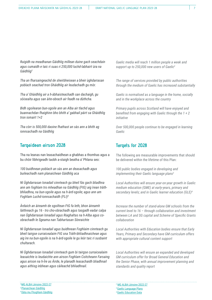*Ruigidh na meadhanan Gàidhlig millean duine gach seachdain agus cumaidh e taic ri suas ri 250,000 luchd-labhairt ùra na Gàidhlig2*

*Tha an fharsaingeachd de sheirbheisean a bheir ùghdarrasan poblach seachad tron Ghàidhlig air leudachadh gu mòr.* 

*Tha a' Ghàidhlig air a h-àbhaisteachadh san dachaigh, gu sòisealta agus san àite-obrach air feadh na dùthcha.*

*Bidh sgoilearan bun-sgoile ann an Alba air tlachd agus buannachdan fhaighinn bho bhith a' gabhail pàirt sa Ghàidhlig tron iomairt 1+2*

*Tha còrr is 500,000 daoine fhathast an sàs ann a bhith ag ionnsachadh na Gàidhlig*

#### **Targaidean airson 2028**

Tha na leanas nan leasachaidhean a ghabhas a thomhas agus a bu chòir lìbhrigeadh taobh a-staigh beatha a' Phlana seo:

*100 buidhnean poblach an sàs ann an deasachadh agus buileachadh nam planaichean Gàidhlig aca* 

*Nì Ùghdarrasan Ionadail cinnteach gu bheil fàs gach bliadhna ann am foghlam tro mheadhan na Gàidhlig (FtG) aig ìrean tràthbhliadhna, na bun-sgoile agus na h-àrd-sgoile; agus ann am Foghlam Luchd-ionnsachaidh (FLI)4*

*Àrdaich an àireamh de sgoiltean FtG fa leth, bhon àireamh làithreach gu 16 - tro cho-obrachadh agus tasgadh eadar calpa nan Ùghdarrasan Ionadail agus Riaghaltas na h-Alba agus coobrachadh le Sgeama nan Tabhartasan Sònraichte*

*Nì Ùghdarrasan Ionadail agus buidhnean Foghlaim cinnteach gu bheil tairgse curraicealaim FtG sna Tràth-bhliadhnaichean agus aig ìre na bun-sgoile is na h-àrd-sgoile le gu leòr taic ri susbaint chultarach.*

*Nì Ùghdarrasan Ionadail cinnteach gum bi tairgse curraicealaim leasaichte is leudaichte ann airson Foghlam Coitcheann Farsaing agus airson na h-Ìre as Àirde, le planadh leasachaidh bliadhnail agus aithisg inbhean agus càileachd bhliadhnail.*

*Gaelic media will reach 1 million people a week and support up to 250,000 new users of Gaelic2*

*The range of services provided by public authorities through the medium of Gaelic has increased substantially* 

*Gaelic is normalised as a language in the home, socially and in the workplace across the country*

*Primary pupils across Scotland will have enjoyed and benefited from engaging with Gaelic through the 1 + 2 initiative*

*Over 500,000 people continue to be engaged in learning Gaelic*

#### **Targets for 2028**

The following are measurable improvements that should be delivered within the lifetime of this Plan:

*100 public bodies engaged in developing and implementing their Gaelic language plans3*

*Local Authorities will ensure year-on-year growth in Gaelic medium education (GME) at early-years, primary and secondary levels; and in Gaelic learner education (GLE)4*

*Increase the number of stand-alone GM schools from the current level to 16 – through collaboration and investment between LA and SG capital and Scheme of Specific Grants collaboration*

*Local Authorities with Education bodies ensure that Early Years, Primary and Secondary have GM curriculum offers with appropriate cultural content support*

*Local Authorities will ensure an expanded and developed GM curriculum offer for Broad General Education and the Senior Phase, with annual improvement planning and standards and quality report*

<sup>2.</sup>[MG ALBA Lèirsinn 2022-27](https://mgalba.com/wp-content/uploads/2021/11/Leirsinn-A-Route-Map-for-Gaelic-Media-2022-2027.pdf) 3 [Planaichean Gàidhlig](https://www.gaidhlig.scot/gd/planaichean-gaidhlig/) 4 [Dàta mu Fhoghlam Gàidhlig](https://www.gaidhlig.scot/gd/foghlam/data-foghlaim/)

<sup>2</sup> [MG ALBA Lèirsinn 2022-27](https://mgalba.com/wp-content/uploads/2021/11/Leirsinn-A-Route-Map-for-Gaelic-Media-2022-2027.pdf)

- <sup>3</sup> [Gaelic Language Plans](https://www.gaidhlig.scot/en/gaelic-language-plans/)
- 4 [Gaelic Education Data](https://www.gaidhlig.scot/en/education/education-data/)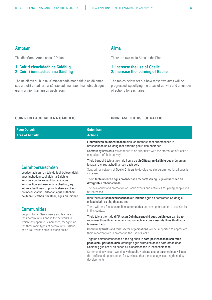#### **Amasan**

Tha dà prìomh Amas anns a' Phlana:

#### **1. Cuir ri cleachdadh na Gàidhlig 2. Cuir ri ionnsachadh na Gàidhlig**

Tha na clàran gu h-ìosal a' mìneachadh mar a thèid an dà amas seo a thoirt air adhart, a' sònrachadh nan raointean obrach agus grunn ghnìomhan airson gach raoin.

#### **Aims**

There are two main Aims in the Plan:

#### **1. Increase the use of Gaelic 2. Increase the learning of Gaelic**

The tables below set out how these two aims will be progressed, specifying the areas of activity and a number of actions for each area.

#### **CUIR RI CLEACHDADH NA GÀIDHLIG**

#### **INCREASE THE USE OF GAELIC**

| <b>Raon Obrach</b>                                                                                                                                                                                                                                                                                                                                                                                                                                                                                                                                                                                   | <b>Gnìomhan</b>                                                                                                                                                                                                                                     |
|------------------------------------------------------------------------------------------------------------------------------------------------------------------------------------------------------------------------------------------------------------------------------------------------------------------------------------------------------------------------------------------------------------------------------------------------------------------------------------------------------------------------------------------------------------------------------------------------------|-----------------------------------------------------------------------------------------------------------------------------------------------------------------------------------------------------------------------------------------------------|
| <b>Area of Activity</b>                                                                                                                                                                                                                                                                                                                                                                                                                                                                                                                                                                              | <b>Actions</b>                                                                                                                                                                                                                                      |
| Coimhearsnachdan<br>Leudachadh ann an taic do luchd-cleachdaidh<br>agus luchd-ionnsachaidh na Gàidhlig<br>anns na coimhearsnachdan aca agus<br>anns na lìonraidhean anns a bheil iad; ag<br>aithneachadh nan trì prìomh sheòrsaichean<br>coimhearsnachd - eileanan agus dùthchail;<br>bailtean is cathair-bhailtean; agus air-loidhne.<br><b>Communities</b><br>Support for all Gaelic users and learners in<br>their communities and in the networks in<br>which they operate is increased; recognising<br>the three main types of community $-$ island<br>and rural; towns and cities; and online. | Lionraidhean coimhearsnachd bidh iad fhathast nam prìomhachas le<br>brosnachadh na Gàidhlig mar phrìomh phàirt den obair aca<br>Community networks will continue to be prioritised with the promotion of Gaelic a<br>central part of their activity |
|                                                                                                                                                                                                                                                                                                                                                                                                                                                                                                                                                                                                      | Thèid barrachd taic a thoirt do lìonra de dh'Oifigearan Gàidhlig gus prògraman<br>ionadail a chruthachadh airson gach aois                                                                                                                          |
|                                                                                                                                                                                                                                                                                                                                                                                                                                                                                                                                                                                                      | Support for network of Gaelic Officers to develop local programmes for all ages is<br>increased                                                                                                                                                     |
|                                                                                                                                                                                                                                                                                                                                                                                                                                                                                                                                                                                                      | Thèid faotainneachd agus brosnachadh tachartasan agus gnìomhachdan do<br>dh'òigridh a mheudachadh                                                                                                                                                   |
|                                                                                                                                                                                                                                                                                                                                                                                                                                                                                                                                                                                                      | The availability and promotion of Gaelic events and activities for young people will<br>he increased                                                                                                                                                |
|                                                                                                                                                                                                                                                                                                                                                                                                                                                                                                                                                                                                      | Bidh fòcas air coimhearsnachdan air-loidhne agus na cothroman Gàidhlig a<br>chleachdadh sa cho-theacsa seo                                                                                                                                          |
|                                                                                                                                                                                                                                                                                                                                                                                                                                                                                                                                                                                                      | There will be a focus on on-line communities and the opportunities to use Gaelic<br>in this context                                                                                                                                                 |
|                                                                                                                                                                                                                                                                                                                                                                                                                                                                                                                                                                                                      | Thèid taic a thoirt do dh'Urrasan Coimhearsnachd agus buidhnean san treas-<br>roinn mar thoradh air an obair chudromaich aca gus cleachdadh na Gàidhlig a<br>bhrosnachadh                                                                           |
|                                                                                                                                                                                                                                                                                                                                                                                                                                                                                                                                                                                                      | Community trusts and third-sector organisations will be supported to appreciate<br>their important role in promoting the use of Gaelic                                                                                                              |
|                                                                                                                                                                                                                                                                                                                                                                                                                                                                                                                                                                                                      | Togaidh coimhearsnachdan a tha ag obair le com-pàirteachasan san roinn<br>phoblaich / phrìobhaidich ìomhaigh agus cruthaichidh iad cothroman dhan<br>Ghàidhlig gus am bi an cànan air a neartachadh le leasachaidhean.                              |
|                                                                                                                                                                                                                                                                                                                                                                                                                                                                                                                                                                                                      | Communities who are working with public / private sector partnerships will raise<br>the profile and opportunities for Gaelic so that the language is strengthened by<br>developments.                                                               |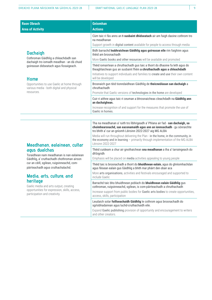| <b>Raon Obrach</b>                                                                                                                                                                                                                                                                                                                                                                               | <b>Gnìomhan</b>                                                                                                                                                                                                                                                                                                                                                                                                     |
|--------------------------------------------------------------------------------------------------------------------------------------------------------------------------------------------------------------------------------------------------------------------------------------------------------------------------------------------------------------------------------------------------|---------------------------------------------------------------------------------------------------------------------------------------------------------------------------------------------------------------------------------------------------------------------------------------------------------------------------------------------------------------------------------------------------------------------|
| <b>Area of Activity</b>                                                                                                                                                                                                                                                                                                                                                                          | <b>Actions</b>                                                                                                                                                                                                                                                                                                                                                                                                      |
| <b>Dachaigh</b><br>Cothroman Gàidhlig a chleachdadh san                                                                                                                                                                                                                                                                                                                                          | Cùm taic ri fàs anns an t-susbaint dhidseatach air am faigh daoine cothrom tro<br>na meadhanan                                                                                                                                                                                                                                                                                                                      |
|                                                                                                                                                                                                                                                                                                                                                                                                  | Support growth in digital content available for people to access through media                                                                                                                                                                                                                                                                                                                                      |
|                                                                                                                                                                                                                                                                                                                                                                                                  | Bidh barrachd leabhraichean Gàidhlig agus goireasan eile rim faighinn agus<br>thèid am brosnachadh                                                                                                                                                                                                                                                                                                                  |
| dachaigh tro iomadh meadhan - an dà chuid                                                                                                                                                                                                                                                                                                                                                        | More Gaelic books and other resources will be available and promoted                                                                                                                                                                                                                                                                                                                                                |
| goireasan didseatach agus fiosaigeach.                                                                                                                                                                                                                                                                                                                                                           | Thèid iomairtean a chruthachadh gus taic a thoirt do dhaoine fa leth agus do<br>theaghlaichean gus an susbaint fhèin a chruthachadh agus a chleachdadh                                                                                                                                                                                                                                                              |
| <b>Home</b>                                                                                                                                                                                                                                                                                                                                                                                      | Initiatives to support individuals and families to create and use their own content<br>will be developed                                                                                                                                                                                                                                                                                                            |
| Opportunities to use Gaelic at home through<br>various media - both digital and physical                                                                                                                                                                                                                                                                                                         | Brosnaich gun tèid tionndaidhean Gàidhlig de theicneolasan san dachaigh a<br>chruthachadh                                                                                                                                                                                                                                                                                                                           |
| resources.                                                                                                                                                                                                                                                                                                                                                                                       | Promote that Gaelic versions of technologies in the home are developed                                                                                                                                                                                                                                                                                                                                              |
|                                                                                                                                                                                                                                                                                                                                                                                                  | Cuir ri aithne agus taic ri ceuman a bhrosnaicheas cleachdadh na Gàidhlig ann<br>an dachaighean.                                                                                                                                                                                                                                                                                                                    |
|                                                                                                                                                                                                                                                                                                                                                                                                  | Increase recognition of and support for the measures that promote the use of<br>Gaelic in homes.                                                                                                                                                                                                                                                                                                                    |
| Meadhanan, ealainean, cultar<br>agus dualchas<br>Toraidhean nam meadhanan is nan ealainean<br>Gàidhlig, a' cruthachadh chothroman airson<br>cur an cèill, sgilean, ruigsinneachd, com-<br>pàirteachadh agus cruthachalachd.<br>Media, arts, culture, and<br>heritage<br>Gaelic media and arts output, creating<br>opportunities for expression, skills, access,<br>participation and creativity. | Tha na meadhanan a' ruith tro lìbhrigeadh a' Phlana air fad - san dachaigh, sa<br>choimhearsnachd, san eaconamaidh agus ann an ionnsachadh - gu sònraichte<br>tro bhith a' cur an gnìomh Lèirsinn 2022-2027 aig MG ALBA<br>Media will run throughout delivering the Plan - in the home, in the community, in<br>the economy and in learning - primarily through implementation of the MG ALBA<br>Lèirsinn 2022-2027 |
|                                                                                                                                                                                                                                                                                                                                                                                                  | Thèid cuideam a chur air gnothaichean sna meadhanan a tha a' tarraingeach do<br>dh'òigridh                                                                                                                                                                                                                                                                                                                          |
|                                                                                                                                                                                                                                                                                                                                                                                                  | Emphasis will be placed on media activities appealing to young people                                                                                                                                                                                                                                                                                                                                               |
|                                                                                                                                                                                                                                                                                                                                                                                                  | Thèid taic is brosnachadh a thoirt do <b>bhuidhnean ealain</b> , agus do ghnìomhachdan<br>agus fèisean ealain gus Gàidhlig a bhith mar phàirt den obair aca                                                                                                                                                                                                                                                         |
|                                                                                                                                                                                                                                                                                                                                                                                                  | More arts organisations, activities and festivals encouraged and supported to<br>include Gaelic                                                                                                                                                                                                                                                                                                                     |
|                                                                                                                                                                                                                                                                                                                                                                                                  | Barrachd taic bho bhuidhnean poblach do bhuidhnean ealain Gàidhlig gus<br>cothroman, ruigsinneachd, sgilean, is com-pàirteachadh a chruthachadh                                                                                                                                                                                                                                                                     |
|                                                                                                                                                                                                                                                                                                                                                                                                  | Increase support from public bodies for Gaelic arts bodies to create opportunities,<br>access, skills, participation                                                                                                                                                                                                                                                                                                |
|                                                                                                                                                                                                                                                                                                                                                                                                  | Leudaich solar foillseachaidh Gàidhlig le cothrom agus brosnachadh do<br>sgrìobhadairean agus luchd-cruthachaidh eile.                                                                                                                                                                                                                                                                                              |
|                                                                                                                                                                                                                                                                                                                                                                                                  | Expand Gaelic publishing provision of opportunity and encouragement to writers<br>and other creators.                                                                                                                                                                                                                                                                                                               |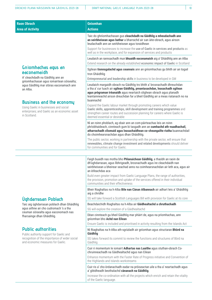|                                                                                                                                                                                                 | <b>Gnìomhan</b>                                                                                                                                                                                                                                                                                                                 |
|-------------------------------------------------------------------------------------------------------------------------------------------------------------------------------------------------|---------------------------------------------------------------------------------------------------------------------------------------------------------------------------------------------------------------------------------------------------------------------------------------------------------------------------------|
| <b>Raon Obrach</b><br><b>Area of Activity</b>                                                                                                                                                   | <b>Actions</b>                                                                                                                                                                                                                                                                                                                  |
|                                                                                                                                                                                                 | Taic do ghnìomhachasan gus cleachdadh na Gàidhlig a mheudachadh ann<br>an seirbheisean agus bathar a bharrachd air san àite-obrach, agus airson<br>leudachadh ann an seirbheisean agus toraidhean                                                                                                                               |
|                                                                                                                                                                                                 | Support for businesses to increase the use of Gaelic in services and products as<br>well as in the workplace, and for expansion of services and products                                                                                                                                                                        |
|                                                                                                                                                                                                 | Leudaich an rannsachadh mun bhuaidh eaconamaich aig a' Ghàidhlig ann an Alba                                                                                                                                                                                                                                                    |
|                                                                                                                                                                                                 | Extend research on the already established economic impact of Gaelic in Scotland                                                                                                                                                                                                                                                |
| Gnìomhachas agus an<br>eaconamaidh<br>A' cleachdadh na Gàidhlig ann an                                                                                                                          | Sgilean tionnsgalachd agus ceannais ann an gnìomhachas gu bhith air an togail<br>tron Ghàidhlig                                                                                                                                                                                                                                 |
| gnìomhachasan agus iomairtean sòisealta;                                                                                                                                                        | Entrepreneurial and leadership skills in business to be developed in GM                                                                                                                                                                                                                                                         |
| agus Gàidhlig mar stòras eaconamach ann<br>an Alba.<br><b>Business and the economy</b><br>Using Gaelic in businesses and social<br>enterprises; and Gaelic as an economic asset<br>in Scotland. | Leudaich margaidh obrach na Gàidhlig tro bhith a' brosnachadh dhreuchdan<br>a tha a' cur luach air sgilean Gàidhlig, preantasachdan, leasachadh sgilean<br>agus prògraman trèanaidh agus neartaich slighean obrach agus planadh<br>leantainneachd airson dreuchdan far a bheil Gàidhlig air a meas riatanach no na<br>buannachd |
|                                                                                                                                                                                                 | Expand the Gaelic labour market through promoting careers which value<br>Gaelic skills, apprenticeships, skill development and training programmes and<br>strengthen career routes and succession planning for careers where Gaelic is<br>deemed essential or desirable                                                         |
|                                                                                                                                                                                                 | Nì an roinn phoblach, ag obair ann an com-pàirteachas leis an roinn<br>phrìobhaideach, cinnteach gum bi tasgadh ann an cumhachd ath-nuadhachail,<br>atharrachadh clìomaid agus leasachaidhean co-cheangailte riutha buannachdail<br>do choimhearsnachdan agus dhan Ghàidhlig.                                                   |
|                                                                                                                                                                                                 | The public sector, working in partnership with the private sector, will ensure that<br>renewables, climate change investment and related developments should deliver<br>for communities and for Gaelic.                                                                                                                         |
|                                                                                                                                                                                                 |                                                                                                                                                                                                                                                                                                                                 |
|                                                                                                                                                                                                 | Faigh buaidh nas motha bho Phlanaichean Gàidhlig, a thaobh an raoin de<br>dh'ùghdarrasan, agus lìbhrigeadh, brosnachadh agus ìre cleachdaidh nan<br>seirbheisean a bheirear seachad anns na coimhearsnachdan air leth aca, agus air<br>an èifeachdas aca                                                                        |
|                                                                                                                                                                                                 | Build even greater impact from Gaelic Language Plans, the range of authorities,<br>the provision, promotion and uptake of the services offered in their individual<br>communities and their effectiveness                                                                                                                       |
|                                                                                                                                                                                                 | Bheir Riaghaltas na h-Alba Bile nan Cànan Albannach air adhart leis a' Ghàidhlig<br>aig a chridhe                                                                                                                                                                                                                               |
| <b>Úghdarrasan Poblach</b>                                                                                                                                                                      | SG will take forward a Scottish Languages Bill with provision for Gaelic at its core                                                                                                                                                                                                                                            |
| Taic aig ùghdarrasan poblach dhan Ghàidhlig<br>agus aithne air cho cudromach 's a tha<br>ceuman sòisealta agus eaconomach nas<br>fharsainge dhan Ghàidhlig.                                     | Beachdaichidh Riaghaltas na h-Alba air Gàidhealtachd a chruthachadh                                                                                                                                                                                                                                                             |
|                                                                                                                                                                                                 | SG will explore the creation of a Gàidhealtachd                                                                                                                                                                                                                                                                                 |
|                                                                                                                                                                                                 | Dèan cinnteach gu bheil Gàidhlig mar phàirt de, agus na prìomhachas, ann<br>gnìomhan bho Achd nan Eilean                                                                                                                                                                                                                        |
| <b>Public authorities</b>                                                                                                                                                                       | Ensure Gaelic is included and prioritised in activity resulting from the Islands Act                                                                                                                                                                                                                                            |
| Public authority support for Gaelic and<br>recognition of the importance of wider social<br>and economic measures for Gaelic.                                                                   | Nì Riaghaltas na h-Alba ath-sgrùdadh air gnìomhan agus structaran Bhòrd na<br>Gàidhlig                                                                                                                                                                                                                                          |
|                                                                                                                                                                                                 | SG takes forward its commit to review the functions and structures of Bord na<br>Gàidhlig                                                                                                                                                                                                                                       |

Cuir ri momentum le iomairt **Adhartas nas Luaithe** agus stuthan-obrach Cochruinneachadh na Gàidhealtachd agus nan Eilean

Enhance momentum with the Faster Rate of Progress initiative and Convention of the Highlands and Islands workstreams

Cuir ris a' cho-òrdanachadh eadar na pròiseactan uile a tha a' neartachadh agus a' glèidheadh beothalachd **cànanach na Gàidhlig**.

Increase the co-ordination with all the projects which enrich and retain the vitality of the Gaelic language.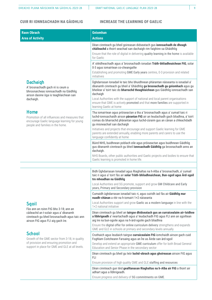**CUIR RI IONNSACHADH NA GÀIDHLIG INCREASE THE LEARNING OF GAELIC**

| <b>Raon Obrach</b>                                                                                                                                                                                                                                                                                                                                   | <b>Gnìomhan</b>                                                                                                                                                                                                                                                                                                                               |
|------------------------------------------------------------------------------------------------------------------------------------------------------------------------------------------------------------------------------------------------------------------------------------------------------------------------------------------------------|-----------------------------------------------------------------------------------------------------------------------------------------------------------------------------------------------------------------------------------------------------------------------------------------------------------------------------------------------|
| <b>Area of Activity</b>                                                                                                                                                                                                                                                                                                                              | <b>Actions</b>                                                                                                                                                                                                                                                                                                                                |
|                                                                                                                                                                                                                                                                                                                                                      | Dèan cinnteach gu bheil goireasan didseatach gus ionnsachadh de dheagh<br>chàileachd a thoirt seachad san dachaigh rim faighinn sa Ghàidhlig                                                                                                                                                                                                  |
|                                                                                                                                                                                                                                                                                                                                                      | Ensure that the role of digital in delivering quality learning in the home is available<br>for Gaelic                                                                                                                                                                                                                                         |
|                                                                                                                                                                                                                                                                                                                                                      | A' stèidheachadh agus a' brosnachadh ionadan Tràth-bhliadhnaichean FtG, solar<br>0-3 agus iomairtean co-cheangailte                                                                                                                                                                                                                           |
|                                                                                                                                                                                                                                                                                                                                                      | Establishing and promoting GME Early years centres, 0-3 provision and related<br>initiatives                                                                                                                                                                                                                                                  |
| <b>Dachaigh</b><br>A' brosnachadh gach nì is ceum a<br>bhrosnaicheas ionnsachadh na Gàidhlig<br>airson daoine òga is teaghlaichean san<br>dachaigh.                                                                                                                                                                                                  | Úghdarrasan Ionadail le taic bho bhuidhnean phàrantan nàiseanta is ionadail a'<br>dèanamh cinnteach gu bheil a' Ghàidhlig ga brosnachadh gu gnìomhach agus gu<br>bheilear a' toirt taic do bharrachd theaghlaichean gus Gàidhlig ionnsachadh san<br>dachaigh<br>Local Authorities with the support of national and local parent organisations |
|                                                                                                                                                                                                                                                                                                                                                      | ensure that GME is actively promoted and that more families are supported in<br>learning Gaelic at home                                                                                                                                                                                                                                       |
| <b>Home</b><br>Promotion of all influences and measures that<br>encourage Gaelic language learning for young<br>people and families in the home.                                                                                                                                                                                                     | Tha iomairtean agus pròiseactan a tha a' brosnachadh agus a' cumail taic ri<br>luchd-ionnsachaidh airson pàrantan FtG air an leudachadh gach bliadhna, a' toirt<br>comas do bharrachd phàrantan agus luchd-cùraim gus an cànan a chleachdadh<br>gu misneachail san dachaigh                                                                   |
|                                                                                                                                                                                                                                                                                                                                                      | Initiatives and projects that encourage and support Gaelic learning for GME<br>parents are extended annually, enabling more parents and carers to use the<br>language confidently at home                                                                                                                                                     |
|                                                                                                                                                                                                                                                                                                                                                      | Bùird NHS, buidhnean poblach eile agus pròiseactan agus buidhnean Gàidhlig<br>gus dèanamh cinnteach gu bheil ionnsachadh Gàidhlig ga brosnachadh anns an<br>dachaigh.                                                                                                                                                                         |
|                                                                                                                                                                                                                                                                                                                                                      | NHS Boards, other public authorities and Gaelic projects and bodies to ensure that<br>Gaelic learning is promoted in home life.                                                                                                                                                                                                               |
|                                                                                                                                                                                                                                                                                                                                                      |                                                                                                                                                                                                                                                                                                                                               |
|                                                                                                                                                                                                                                                                                                                                                      | Bidh Ùghdarrasan Ionadail agus Riaghaltas na h-Alba a' brosnachadh, a' cumail<br>taic ri agus a' toirt fàs air solar Tràth-bhliadhnaichean, Bun-sgoil agus Àrd-sgoil<br>tro mheadhan na Gàidhlig                                                                                                                                              |
| <b>Sgoil</b><br>Fàs ann an roinn FtG bho 3-18; ann an<br>càileachd an t-solair agus a' dèanamh<br>cinnteach gu bheil brosnachadh agus taic ann<br>airson FtG agus FLI aig gach ìre.<br><b>School</b><br>Growth of the GME sector from 3-18; in quality<br>of provision and ensuring promotion and<br>support in place for GME and GLE at all levels. | Local Authorities and SG promote, support and grow GM Childcare and Early<br>years, Primary and Secondary provision                                                                                                                                                                                                                           |
|                                                                                                                                                                                                                                                                                                                                                      | Cumaidh ùghdarrasan ionadail taic ri, agus cuiridh iad fàs air Gàidhlig mar<br>nuadh-chànan a rèir na h-iomairt 1+2 nàiseanta                                                                                                                                                                                                                 |
|                                                                                                                                                                                                                                                                                                                                                      | Local Authorities support and grow Gaelic as a modern language in line with the<br>1+2 national initiative                                                                                                                                                                                                                                    |
|                                                                                                                                                                                                                                                                                                                                                      | Dèan cinnteach gu bheil an tairgse dhidseatach gus an curraicealaim air-loidhne<br>a libhrigeadh a' neartachadh agus a' leudachadh FtG agus FLI ann an sgoiltean<br>aig ìre na bun-sgoile agus na h-àrd-sgoile gach bliadhna                                                                                                                  |
|                                                                                                                                                                                                                                                                                                                                                      | Ensure the digital offer for online curriculum delivery strengthens and expands<br>GME and GLE in schools at primary and secondary levels annually                                                                                                                                                                                            |
|                                                                                                                                                                                                                                                                                                                                                      | Cruthaich agus leudaich tairgse curraicealaim FtG iomchaidh airson gach cuid<br>Foghlam Coitcheann Farsaing agus an Ìre as Àirde san àrd-sgoil                                                                                                                                                                                                |
|                                                                                                                                                                                                                                                                                                                                                      | Develop and extend an appropriate GME curriculum offer for both Broad General<br>Education and Senior Phase in the secondary sector                                                                                                                                                                                                           |
|                                                                                                                                                                                                                                                                                                                                                      | Dèan cinnteach gu bheil gu leòr luchd-obrach agus ghoireasan airson FtG agus<br><b>FLI</b>                                                                                                                                                                                                                                                    |
|                                                                                                                                                                                                                                                                                                                                                      | Ensure provision of high quality GME and GLE staffing and resources                                                                                                                                                                                                                                                                           |
|                                                                                                                                                                                                                                                                                                                                                      | Dèan cinnteach gun tèid gealltanasan Riaghaltas na h-Alba air FtG a thoirt air<br>adhart agus a lìbhrigeadh.                                                                                                                                                                                                                                  |
|                                                                                                                                                                                                                                                                                                                                                      | Ensure progress and delivery of SG commitments on GME.                                                                                                                                                                                                                                                                                        |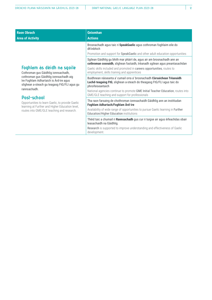| <b>Raon Obrach</b><br><b>Area of Activity</b>                                                                                                                                                                                                                                                                                                                                             | <b>Gnìomhan</b><br><b>Actions</b>                                                                                                                                          |
|-------------------------------------------------------------------------------------------------------------------------------------------------------------------------------------------------------------------------------------------------------------------------------------------------------------------------------------------------------------------------------------------|----------------------------------------------------------------------------------------------------------------------------------------------------------------------------|
| Foghlam às dèidh na sgoile<br>Cothroman gus Gàidhlig ionnsachadh,<br>cothroman gus Gàidhlig ionnsachadh aig<br>ìre Foghlam Adhartaich is Àrd-ìre agus<br>slighean a-steach gu teagasg FtG/FLI agus gu<br>rannsachadh.<br>Post-school<br>Opportunities to learn Gaelic, to provide Gaelic<br>learning at Further and Higher Education level,<br>routes into GME/GLE teaching and research. | Brosnachadh agus taic ri SpeakGaelic agus cothroman foghlaim eile do<br>dh'inbhich<br>Promotion and support for <b>SpeakGaelic</b> and other adult education opportunities |
|                                                                                                                                                                                                                                                                                                                                                                                           | Sgilean Gàidhlig gu bhith mar phàirt de, agus air am brosnachadh ann an<br>cothroman cosnaidh, slighean fastaidh, trèanadh sgilean agus preantasachdan                     |
|                                                                                                                                                                                                                                                                                                                                                                                           | Gaelic skills included and promoted in careers opportunities, routes to<br>employment, skills training and apprentices                                                     |
|                                                                                                                                                                                                                                                                                                                                                                                           | Buidhnean nàiseanta a' cumail orra a' brosnachadh Cùrsaichean Trèanaidh<br>Luchd-teagaisg FtG, slighean a-steach do theagasg FtG/FLI agus taic do<br>phroifeiseantaich     |
|                                                                                                                                                                                                                                                                                                                                                                                           | National agencies continue to promote GME Initial Teacher Education, routes into<br>GME/GLE teaching and support for professionals                                         |
|                                                                                                                                                                                                                                                                                                                                                                                           | Tha raon farsaing de chothroman ionnsachaidh Gàidhlig ann an institiudan<br>Foghlam Adhartach/Foghlam Àrd-ìre                                                              |
|                                                                                                                                                                                                                                                                                                                                                                                           | Availability of wide range of opportunities to pursue Gaelic learning in Further<br><b>Education/Higher Education institutions</b>                                         |
|                                                                                                                                                                                                                                                                                                                                                                                           | Thèid taic a chumail ri Rannsachadh gus cur ri tuigse air agus èifeachdas obair<br>leasachaidh na Gàidhlig.                                                                |
|                                                                                                                                                                                                                                                                                                                                                                                           | Research is supported to improve understanding and effectiveness of Gaelic<br>development.                                                                                 |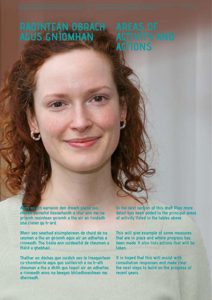### **RAOINTEAN OBRACH AGUS GNÌOMHAN**

# **ACTIVITY AND ACTIONS**

**Anns an ath earrainn den dreach plana seo, chaidh barrachd fiosrachaidh a chur ann mu na prìomh raointean gnìomh a tha air an liostadh sna clàran gu h-àrd.** 

**Bheir seo seachad eisimpleirean de chuid de na ceuman a tha an gnìomh agus air an adhartas a rinneadh. Tha liosta ann cuideachd de cheuman a thèid a ghabhail.**

**Thathar an dòchas gun cuidich seo le freagairtean co-chomhairle agus gun soilleirich e na h-ath cheuman a tha a dhìth gus togail air an adhartas a rinneadh anns na beagan bhliadhnaichean mu dheireadh.**

**In the next section of this draft Plan more detail has been added to the principal areas of activity listed in the tables above.** 

**This will give example of some measures that are in place and where progress has been made. It also lists actions that will be taken.**

**It is hoped that this will assist with consultation responses and make clear the next steps to build on the progress of recent years.**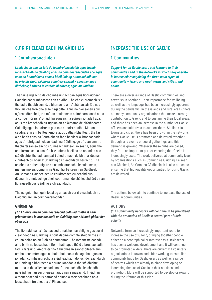#### **CUIR RI CLEACHDADH NA GÀIDHLIG**

#### **1. Coimhearsnachdan**

*Leudachadh ann an taic do luchd-cleachdaidh agus luchdionnsachaidh na Gàidhlig anns na coimhearsnachdan aca agus anns na lìonraidhean anns a bheil iad; ag aithneachadh nan trì prìomh sheòrsaichean coimhearsnachd - eileanan agus dùthchail; bailtean is cathair-bhailtean; agus air-loidhne.*

Tha farsaingeachd de choimhearsnachdan agus lìonraidhean Gàidhlig eadar-mheasgte ann an Alba. Tha cho cudromach 's a tha iad a thaobh sunnd, a bharrachd air a' chànan, air fàs nas fhollaisiche tron ghalar lèir-sgaoilte. Anns na h-eileanan agus sgìrean dùthchail, tha mòran bhuidhnean coimhearsnachd a tha a' cur gu mòr ris a' Ghàidhlig agus ris na sgìrean ionadail aca, agus tha àrdachadh air tighinn air an àireamh de dh'oifigearan Gàidhlig agus iomairtean gus taic a thoirt dhaibh. Mar an ceudna, ann am bailtean-mòra agus cathair-bhailtean, tha fàs air a bhith anns na lìonraidhean far a bheilear a' brosnachadh agus a' lìbhrigeadh cleachdadh na Gàidhlig, ge b ' e an ann tro thachartasan ealain no cruinneachaidhean sòisealta, agus tha an t-iarrtas seo a' fàs. Ge b' e càite a bheil na co-aonadan seo stèidhichte, tha iad nam pàirt chudromach de bhith a' dèanamh cinnteach gu bheil a' Ghàidhlig ga cleachdadh barrachd. Tha an obair a nithear aig ire na coimhearsnachd le buidhnean, mar eisimpleir, Comunn na Gàidhlig, Fèisean nan Gàidheal, An Comann Gàidhealach ro-chudromach cuideachd gus dèanamh cinnteach gu bheil cothroman de chàileachd àrd air an lìbhrigeadh gus Gàidhlig a chleachdadh.

Tha na gnìomhan gu h-ìosal ag amas air cur ri cleachdadh na Gàidhlig ann an coimhearsnachdan.

#### **GNÌOMHAN**

#### *(1.1) Lìonraidhean coimhearsnachd bidh iad fhathast nam prìomhachas le brosnachadh na Gàidhlig mar phrìomh phàirt den obair aca*

Tha lìonraidhean a' fàs nas cudromaiche mar shlighe gus cur ri cleachdadh na Gàidhlig, a' toirt daoine còmhla stèidhichte air cruinn-eòlas no air ùidh sa chumantas. Tha iomairt #cleachdi air a bhith na leasachadh fìor mhath agus thèid a brosnachadh fad is farsaing. An-dràsta tha 4 buidhnean saor-thoileach ann am bailtean-mòra agus cathair-bhailtean a tha ag obair gus coionadan coimhearsnachd a stèidheachadh do luchd-cleachdaidh na Gàidhlig a bharrachd air grunn ionadan a tha stèidhichte mar-thà, a tha a' leasachadh no a' meudachadh cleachdadh na Gàidhlig nan seirbheisean agus nan sanasachd. Thèid taic a thoirt seachad gus barrachd dhiubh a stèidheachadh no a leasachadh tro bheatha a' Phlana seo.

#### **INCREASE THE USE OF GAELIC**

#### **1. Communities**

*Support for all Gaelic users and learners in their communities and in the networks in which they operate is increased; recognising the three main types of community – island and rural; towns and cities; and online.*

There are a diverse range of Gaelic communities and networks in Scotland. Their importance for wellbeing, as well as the language, has been increasingly apparent during the pandemic. In the islands and rural areas, there are many community organisations that make a strong contribution to Gaelic and to sustaining their local areas, and there has been an increase in the number of Gaelic officers and initiatives to support them. Similarly, in towns and cities, there has been growth in the networks where Gaelic use is promoted and delivered, whether through arts events or social gatherings, and this demand is growing. Wherever these hubs are based, they form an important part of ensuring that Gaelic is increasingly used. The work delivered at community level by organisations such as Comunn na Gàidhlig, Fèisean nan Gàidheal, An Comunn Gàidhealach is also critical to ensuring that high-quality opportunities for using Gaelic are delivered.

The actions below aim to continue to increase the use of Gaelic in communities.

#### **ACTIONS**

*(1.1) Community networks will continue to be prioritised with the promotion of Gaelic a central part of their activity*

Networks form an increasingly important route to increase the use of Gaelic, bringing together people either on a geographical or interest basis. #Cleachdi has been a welcome development and it will continue to be promoted widely. There are currently 4 voluntary organisations in towns and cities working to establish community hubs for Gaelic users as well as a range of centres which are already in place developing or increasing the use of Gaelic in their services and promotion. More will be supported to develop or expand during the lifetime of this Plan.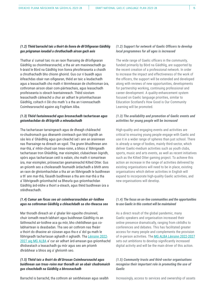#### *(1.2) Thèid barrachd taic a thoirt do lìonra de dh'Oifigearan Gàidhlig gus prògraman ionadail a chruthachadh airson gach aois*

Thathar a' cumail taic ris an raon fharsaing de dh'oifigearan Gàidhlig sa choimhearsnachd, a tha air am maoineachadh gu h-àraid le Bòrd na Gàidhlig tron lìonra phroifeiseanta a chaidh a chruthachadh bho chionn ghoirid. Gus cur ri buaidh agus èifeachdas obair nan oifigearan, thèid an taic a leudachadh agus a leasachadh cho math ri lèirmheasan de chothroman ùra, cothroman airson obair com-pàirteachais, agus leasachadh proifeiseanta is obrach leantainneach. Thèid siostam leasachaidh càileachd a chur air adhart le prìomhachasan Gàidhlig, coltach ri Dè cho math 's a tha an t-ionnsachadh Coimhearsnachd againn aig Foghlam Alba.

#### *(1.3) Thèid faotainneachd agus brosnachadh tachartasan agus gnìomhachdan do dh'òigridh a mheudachadh*

Tha tachartasan tarraingeach agus de dheagh chàileachd ro-chudromach gus dèanamh cinnteach gun tèid òigridh an sàs leis a' Ghàidhlig agus gun cleachd iad i ann an àrainnean nas fharsainge na dìreach an sgoil. Tha grunn bhuidhnean ann mar-thà, a' mhòr-chuid san treas-roinn, a bhios a' lìbhrigeadh tachartasan tron Ghàidhlig, mar eisimpleir, clubaichean òigridh, spòrs agus tachartasan ceòl is ealain, cho math ri iomairtean ùra, mar eisimpleir, pròiseactan geamaireachd Kilted Otter. Gus an gnìomh seo a choileanadh feumaidh àrdachadh a bhith anns an raon de ghnìomhachdan a tha air an lìbhrigeadh le buidhnean a th' ann mar-thà, fàsaidh buidhnean a tha ann mar-thà a tha a' lìbhrigeadh gnìomhachd sa Bheurla gus gnìomhachdan Gàidhlig àrd-inbhe a thoirt a-steach, agus thèid buidhnean ùra a stèidheachadh.

#### *(1.4) Cumar am fòcas seo air coimhearsnachdan air-loidhne agus na cothroman Gàidhlig a chleachdadh sa cho-theacsa seo*

Mar thoradh dìreach air a' ghalar lèir-sgaoilte chruinneil, chuir iomadh neach-labhairt agus buidhnean Gàidhlig ris an làithreachd air-loidhne aca gu mòr, bho chèilidhean gus colabhairtean is deasbadan. Tha seo air cothrom nas fheàrr a thoirt do dhaoine air cùisean agus tha e a' dol gu math le lìbhrigeadh tachartasan aghaidh ri aghaidh. Tha [Lèirsinn 2022-](https://mgalba.com/wp-content/uploads/2021/11/Leirsinn-A-Route-Map-for-Gaelic-Media-2022-2027.pdf) [2027 aig MG ALBA](https://mgalba.com/wp-content/uploads/2021/11/Leirsinn-A-Route-Map-for-Gaelic-Media-2022-2027.pdf) a' cur air adhart àrd-amasan gus gnìomhachd dhidseatach a leasachadh gu mòr agus seo am prìomh dhràibhear a bhios aig a' ghnìomh seo.

#### *(1.5) Thèid taic a thoirt do dh'Urrasan Coimhearsnachd agus buidhnean san treas-roinn mar thoradh air an obair chudromaich gus cleachdadh na Gàidhlig a bhrosnachadh*

Barrachd is barrachd, tha cothrom air seirbheisean agus sealbh

#### *(1.2) Support for network of Gaelic Officers to develop local programmes for all ages is increased*

The wide range of Gaelic officers in the community, funded primarily by Bòrd na Gàidhlig, are supported by the recent creation of a professional network. In order to increase the impact and effectiveness of the work of the officers, the support will be extended and developed along with reviews of new opportunities, developments for partnership working, continuing professional and career development. A quality-enhancement system focused on Gaelic language priorities, similar to Education Scotland's How Good is Our Community Learning will be promoted.

#### *(1.3) The availability and promotion of Gaelic events and activities for young people will be increased*

High-quality and engaging events and activities are critical to ensuring young people engage with Gaelic and use it in a wider range of spheres than just school. There is already a range of bodies, mainly third-sector, which deliver Gaelic-medium activities such as youth clubs, sports, music and arts events, as well as recent initiatives such as the Kilted Otter gaming project. To achieve this action an increase in the range of activities delivered by existing organisations will need to be in place, existing organisations which deliver activities in English will expand to incorporate high-quality Gaelic activities, and new organisations will develop.

#### **(1***.4) The focus on on-line communities and the opportunities to use Gaelic in this context will be maintained*

As a direct result of the global pandemic, many Gaelic speakers and organisation increased their online presence dramatically, ranging from cèilidhs to conferences and debates. This has facilitated greater access for many people and complements the provision of in-person activities. The [MG ALBA Lèirsinn 2022-2027](https://mgalba.com/wp-content/uploads/2021/11/Leirsinn-A-Route-Map-for-Gaelic-Media-2022-2027.pdf) sets out ambitions to develop significantly increased digital activity and will be the main driver of this action.

#### *(1.5) Community trusts and third-sector organisations recognise their important role in promoting the use of Gaelic*

Increasingly, access to services and ownership of assets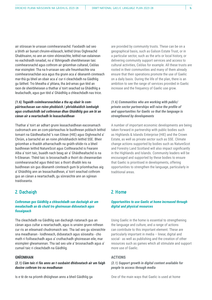air stòrasan le urrasan coimhearsnachd. Faodaidh iad seo a bhith air bunait chruinn-eòlasach, leithid Urras Oighreachd Ghabhsainn, no ann an roinn shònraichte, leithid nan ealainean no eachdraidh ionadail, no a' lìbhrigeadh sheirbheisean taic coimhearsnachd agus cothrom air gnìomhan cultarail, Ceòlas mar eisimpleir. Tha na h-urrasan seo uile freumhaichte sna coimhearsnachdan aca agus tha grunn aca a' dèanamh cinnteach mar-thà gu bheil an obair aca a' cur ri cleachdadh na Gàidhlig gu làitheil. Tro bheatha a' phlana, tha àrd-amas gun tèid an raon de sheirbheisean a thathar a' toirt seachad sa Ghàidhlig a leudachadh, agus gun tèid a' Ghàidhlig a chleachdadh nas trice.

#### *(1.6) Togaidh coimhearsnachdan a tha ag obair le compàirteachasan san roinn phoblaich / phrìobhaidich ìomhaigh agus cruthaichidh iad cothroman dhan Ghàidhlig gus am bi an cànan air a neartachadh le leasachaidhean*

Thathar a' toirt air adhart grunn leasachaidhean eaconamach cudromach ann an com-pàirteachas le buidhnean poblach leithid Iomairt na Gàidhealtachd 's nan Eilean (HIE) agus Oighreachd a' Chrùin, a barrachd air an roinn phrìobhaidich leithid SSE. Bheir gnìomhan a thaobh atharrachadh na gnàth-shìde ris a bheil buidhnean leithid NatureScot agus Coilltearachd is Fearann Alba a' toirt taic, buaidh nach beag air a' Ghàidhealtachd is na h-Eileanan. Thèid taic is brosnachadh a thoirt do cheannardan coimhearsnachd agus thèid taic a thoirt dhaibh leis na buidhnean sin gus dèanamh cinnteach gum bi prìomhachas aig a' Ghàidhlig ann an leasachaidhean, a' toirt seachad cothrom gus an cànan a neartachadh, gu sònraichte ann an sgìrean traidiseanta.

### **2. Dachaigh**

#### *Cothroman gus Gàidhlig a chleachdadh san dachaigh air am meudachadh an dà chuid tro ghoireasan didseatach agus fiosaigeach*

Tha cleachdadh na Gàidhlig san dachaigh riatanach gus an cànan agus cultar a neartachadh, agus is urrainn grunn nithean cur ris an eileamaid chudromaich seo. Tha iad seo gu sònraichte sna meadhanan - loidhneach, didseatach agus sòisealta - cho math ri foillseachadh agus a' cruthachadh ghoireasan eile, mar eisimpleir gheamannan. Tha iad seo uile a' brosnachadh agus a' cumail taic ri cleachdadh na Gàidhlig.

#### **GNÌOMHAN**

*(2.1) Cùm taic ri fàs anns an t-susbaint dhidseatach air am faigh daoine cothrom tro na meadhanan*

Is e tè de na prìomh dhòighean anns a bheil Gàidhlig ga

are provided by community trusts. These can be on a geographical basis, such as Galson Estate Trust, or in a particular sector, such as the arts or local history, or delivering community support services and access to cultural activities, Ceòlas for example. All these trusts are rooted in their communities and many of them already ensure that their operations promote the use of Gaelic on a daily basis. During the life of the plan, there is an ambition to see the range of services provided in Gaelic increase and the frequency of Gaelic use grow.

#### *(1.6) Communities who are working with public/ private sector partnerships will raise the profile of and opportunities for Gaelic so that the language is strengthened by developments*

A number of important economic developments are being taken forward in partnership with public bodies such as Highlands & Islands Enterprise (HIE) and the Crown Estate, as well as private sector such as SSE. Climate change actions supported by bodies such as NatureScot and Forestry Land Scotland will also impact significantly in the Highlands and Islands. Community leaders will be encouraged and supported by these bodies to ensure that Gaelic is prioritised in developments, offering opportunities to strengthen the language, particularly in traditional areas.

### **2. Home**

#### *Opportunities to use Gaelic at home increased through digital and physical resources*

Using Gaelic in the home is essential to strengthening the language and culture, and a range of actions can contribute to this important element. These are particularly important in media – linear, digital and social - as well as publishing and the creation of other resources such as games which all stimulate and support more use of Gaelic.

#### **ACTIONS**

*(2.1) Support growth in digital content available for people to access through media*

One of the main ways that Gaelic is used at home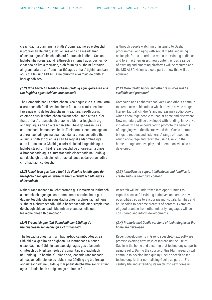cleachdadh aig an taigh a bhith a' coimhead no ag èisteachd ri prògraman Gàidhlig, a' dol an sàs anns na meadhanan sòisealta agus a' cleachdadh àrd-ùrlaran air-loidhne. Gus an luchd-amhairc/èisteachd làithreach a chumail agus gus luchdcleachdaidh ùra a tharraing, bidh feum air susbaint ùr thairis air grunn ùrlaran a th' ann mar-thà agus a tha a' tighinn am bàrr agus tha lèirsinn MG ALBA na phrìomh eileamaid de bhith a' lìbhrigeadh seo.

#### *(2.2) Bidh barrachd leabhraichean Gàidhlig agus goireasan eile rim faighinn agus thèid am brosnachadh*

Tha Comhairle nan Leabhraichean, Acair agus eile a' cumail orra a' cruthachadh fhoillseachaidhean ùra a tha a' toirt seachad farsaingeachd de leabhraichean litreachais, neo-fhicsein, chloinne agus, leabhraichean claisneachd - raon a tha a' sìor fhàs, a tha a' brosnachadh dhaoine a bhith a' leughadh aig an taigh agus ann an àiteachan eile. Thèid goireasan ùra a chruthachadh le maoineachadh. Thèid iomairtean tionnsgalach a bhrosnachadh gus na buannachdan a bhrosnachadh a tha an lùib a bhith a' dol an sàs san t-saoghal eadar-mheasgte a tha litreachas na Gàidhlig a' toirt do luchd-leughaidh agus luchd-èisteachd. Thèid farsaingeachd de ghoireasan a bhios a' brosnachadh agus a' furastachadh cleachdadh na Gàidhlig san dachaigh tro chluich chruthachail agus eadar-obrachadh a chruthachadh cuideachd.

#### *(2.3) Iomairtean gus taic a thoirt do dhaoine fa leth agus do theaghlaichean gus an susbaint fhèin a chruthachadh agus a chleachdadh*

Nithear rannsachadh mu chothroman gus iomairtean làithreach a leudachadh agus gus cothroman ùra a chruthachadh gus daoine, teaghlaichean agus dachaighean a bhrosnachadh gus susbaint a chruthachadh. Thèid beachdachadh air eisimpleirean de dheagh chleachdadh bho mhion-chànanan eile gus leasachaidhean fhiosrachadh.

#### *(2.4) Brosnaich gun tèid tionndaidhean Gàidhlig de theicneòlasan san dachaigh a chruthachadh*

Tha leasachaidhean ann am bathar-bog cainnt-gu-teacs sa Ghàidhlig a' gealltainn dòighean ùra inntinneach air cur ri cleachdadh na Gàidhlig san dachaigh agus gus dèanamh cinnteach gu bheil teicneòlas a' cumail taic ri cleachdadh na Gàidhlig. Rè beatha a' Phlana seo, leanaidh rannsachadh air leasachadh teicneòlas labhairt na Gàidhlig aig àrd ìre, ag àbhaisteachadh na Gàidhlig mar phàirt de bheatha san 21st linn agus a' leudachadh a ruigsinn gu raointean ùra.

is through people watching or listening to Gaelic programmes, engaging with social media and using online platforms. In order to retain the existing audience and to attract new users, new content across a range of existing and emerging platforms will be required and the MG ALBA vision is a core part of how this will be achieved.

#### *(2.2) More Gaelic books and other resources will be available and promoted*

Comhairle nan Leabhraichean, Acair and others continue to create new publications which provide a wide range of literary, factual, children's and increasingly audio books which encourage people to read at home and elsewhere. New materials will be developed with funding. Innovative initiatives will be encouraged to promote the benefits of engaging with the diverse world that Gaelic literature brings to readers and listeners. A range of resources which encourage and facilitate using Gaelic in the home through creative play and interaction will also be developed.

#### *(2.3) Initiatives to support individuals and families to create and use their own content*

Research will be undertaken into opportunities to expand successful existing initiatives and create new possibilities so as to encourage individuals, families and households to become creaters of content. Examples of good practice from other minority languages will be considered and inform developments.

#### *(2.4) Promote that Gaelic versions of technologies in the home are developed*

Recent developments in Gaelic speech-to-text software promise exciting new ways of increasing the use of Gaelic in the home and ensuring that technology supports using Gaelic. During the course of this Plan, research will continue to develop high-quality Gaelic speech-based technology, further normalising Gaelic as part of 21st century life and extending its reach into new domains.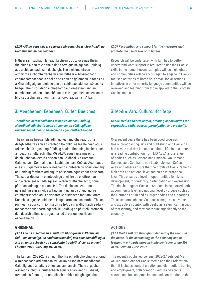#### *(2.5) Aithne agus taic ri ceuman a bhrosnaicheas cleachdadh na Gàidhlig ann an dachaighean*

Nithear rannsachadh le teaghlaichean gus tuigse nas fheàrr fhaighinn air an taic a tha a dhìth orra gus na sgilean Gàidhlig aca a chleachdadh san dachaigh. Thèid eisimpleirean aithnichte a chomharrachadh agus bithear a' brosnachadh choimhearsnachdan a dhol an sàs ann an gnìomhan le fòcas air a' Ghàidhlig aig an taigh no ann an suidheachaidhean sòisealta beaga. Thèid sgrùdadh a dhèanamh air iomairtean ann an coimhearsnachdan mion-chànanan eile agus thèid na leasanan bho seo a chur an gnìomh ann an co-theacsa na h-Alba.

#### **3. Meadhanan, Ealainean, Cultar, Dualchas**

#### *Toraidhean nam meadhanan is nan ealainean Gàidhlig, a' cruthachadh chothroman airson cur an cèill, sgilean, ruigsinneachd, com-pàirteachadh agus cruthachalachd.*

Thairis air na beagan bhliadhnaichean mu dheireadh, bha deagh adhartas ann an craoladh Gàidhlig, na h-ealainean agus foillseachadh agus thug Gàidhlig buaidh fharsaing is bheartach air beatha chultarach. Tha MG ALBA agus farsaingeachd de bhuidhnean leithid Fèisean nan Gàidheal, An Comann Gàidhealach, Comhairle nan Leabhraichean, Ceòlas, Acair agus eile a' cur gu mòr ri seo, a' dèanamh cinnteach gu bheil ìomhaigh na Gàidhlig fhathast àrd aig ìre nàiseanta agus eadar-nàiseanta. Tha seo a' dèanamh cinnteach gu bheil ìre de chothroman ann airson leasachadh sgilean, airson cruthachalachd, compàirteachadh agus cur an cèill. Tha dualchas beairteach na Gàidhlig ann an Alba a' faighinn taic an dà chuid aig ìre coimhearsnachd agus nàiseanta le buidhnean mar am Fòram Dualchais agus le buidhnean is ùghdarrasan nas motha. Tha na roinnean seo a' cur ri ìomhaigh na h-Alba mar dhùthaich eadarmheasgte agus tharraingeach, le Gàidhlig na pàirt chudromach den dearbh-aithne sin, agus tha iad a' cur gu mòr ris an eaconamaidh.

#### **GNÌOMHAN**

*(3.1) Tha na meadhanan a' ruith tro lìbhrigeadh a' Phlana air fad - san dachaigh, sa choimhearsnachd, san eaconamaidh agus ann an ionnsachadh - gu sònraichte tro bhith a' cur an gnìomh Lèirsinn 2022-2027 aig MG ALBA*

Tha Lèirsinn 2022-27 a chaidh fhoillseachadh bho chionn ghoirid a' mìneachadh àrd-amasan MG ALBA airson nam meadhanan Gàidhlig agus an àite a bhios aca ann an sin. Tha e a' gabhail a-steach a bhith a' cruthachadh agus a sgaoileadh susbaint, trèanadh is fastadh, co-obrachadh taobh a-staigh agus thar

#### *(2.5) Recognition and support for the measures that promote the use of Gaelic in homes*

Research will be undertaken with families to better understand what support is required to use their Gaelic skills in the home. Known examples will be highlighted and communities will be encouraged to engage in Gaelicfocused activities at home or in small social settings. Initiatives in other minority language communities will be reviewed and learning from those applied to the Scottish Gaelic context.

#### **3. Media, Arts, Culture, Heritage**

#### *Gaelic media and arts output, creating opportunities for expression, skills, access, participation and creativity.*

Over recent years there has been good progress in Gaelic broadcasting, arts and publishing and Gaelic has had a wide and rich impact on cultural life. In this there is a leading contribution from MG ALBA and a range of bodies such as Fèisean nan Gàidheal, An Comann Gàidhealach, Comhairle nan Leabhraichean, Ceòlas, Acair and others ensure that the profile of Gaelic remains high both at a national level and on an international level. This ensures a level of opportunities for skills development, for creativity, participation and expression. The rich heritage of Gaelic in Scotland is supported both at community level and national level by groups such as the Heritage Forum and by larger bodies and authorities. These sectors enhance Scotland's image as a diverse and attractive country, with Gaelic as a significant aspect of that identity, and they contribute significantly to the economy.

#### **ACTIONS**

*(3.1) Media will run throughout delivering the Plan - in the home, in the community, in the economy and in learning – primarily through implementation of the MG ALBA Lèirsinn 2022-2027*

The recently published Lèirsinn 2022-27 sets out MG ALBA's ambitions for Gaelic media and their role within that. It includes content creation and distribution, training and employment, collaborations within and across sectors and its economic impact and contribution to the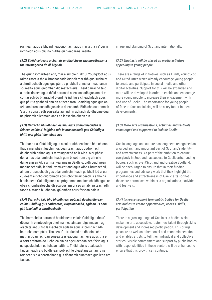roinnean agus a bhuaidh eaconomach agus mar a tha i a' cur ri ìomhaigh agus cliù na h-Alba gu h-eadar-nàiseanta.

#### *(3.2) Thèid cuideam a chur air gnothaichean sna meadhanan a tha tarraingeach do dh'òigridh*

Tha grunn iomairtean ann, mar eisimpleir FilmG, YoungScot agus Kilted Otter, a tha a' brosnachadh òigridh mar-thà gus susbaint a chruthachadh agus gus pàirt a ghabhail anns na meadhanan sòisealta agus gnìomhan didseatach eile. Thèid barrachd taic a thoirt do seo agus thèid barrachd a leasachadh gus am bi e comasach do bharrachd òigridh Gàidhlig a chleachdadh agus gus pàirt a ghabhail ann an nithean tron Ghàidhlig agus gus an tèid am brosnachadh gus sin a dhèanamh. Bidh cho cudromach 's a tha conaltradh sòisealta aghaidh ri aghaidh do dhaoine òga na phrìomh eileamaid anns na leasachaidhean sin.

#### *(3.3) Barrachd bhuidhnean ealain, agus ghnìomhachdan is fèisean ealain a' faighinn taic is brosnachadh gus Gàidhlig a bhith mar phàirt den obair aca*

Thathar air a' Ghàidhlig agus a cultar aithneachadh bho chionn fhada mar phàirt luachmhor, beairteach agus cudromach de dhearbh-aithne agus tarraingeachd na h-Alba. Mar phàirt den amas dèanamh cinnteach gum bi cothrom aig a h-uile duine ann an Alba air na h-ealainean Gàidhlig, bidh buidhnean maoineachaidh, leithid EventScotland agus Alba Chruthachail, air am brosnachadh gus dèanamh cinnteach gu bheil iad a' cur cuideam air cho cudromach agus cho tarraingeach 's a tha na h-ealainean Gàidhlig anns na prògraman maoineachaidh agus an obair chomhairleachaidh aca gus am bi seo air àbhaisteachadh taobh a-staigh buidhnean, gnìomhan agus fèisean ealain.

#### *(3.4) Barrachd taic bho bhuidhnean poblach do bhuidhnean ealain Gàidhlig gus cothroman, ruigsinneachd, sgilean, is compàirteachadh a chruthachadh*

Tha barrachd is barrachd bhuidhnean ealain Gàidhlig a tha a' dèanamh cinnteach gu bheil na h-ealainean ruigsinneach, ag àrach tàlant ùr tro leasachadh sgilean agus a' brosnachadh barrachd com-pàirt. Tha seo a' toirt tlachd do dhaoine cho math ri buannachdan sòisealta is eaconamach eile agus tha e a' toirt cothrom do luchd-ealain na sgeulachdan aca fhèin agus na sgeulachdan coitcheann aithris. Thèid taic is dealasach faicsinneach aig buidhnean poblach le dleastanasan anns na roinnean sin a neartachadh gus dèanamh cinnteach gun lean am fàs seo.

image and standing of Scotland internationally.

#### *(3.2) Emphasis will be placed on media activities appealing to young people*

There are a range of initiatives such as FilmG, YoungScot and Kilted Otter, which already encourage young people to create and participate in social media and other digital activities. Support for this will be expanded and more will be developed in order to enable and encourage more young people to increase their engagement with and use of Gaelic. The importance for young people of face to face socialising will be a key factor in these developments.

#### *(3.3) More arts organisations, activities and festivals encouraged and supported to include Gaelic*

Gaelic language and culture has long been recognised as a valued, rich and important part of Scotland's identity and attractiveness. As part of the ambition to ensure everybody in Scotland has access to Gaelic arts, funding bodies, such as EventScotland and Creative Scotland, will be encouraged to ensure that in their funding programmes and advisory work that they highlight the importance and attractiveness of Gaelic arts so that these are normalised within arts organisations, activities and festivals.

#### *(3.4) Increase support from public bodies for Gaelic arts bodies to create opportunities, access, skills, participation*

There is a growing range of Gaelic arts bodies which make the arts accessible, foster new talent through skills development and increased participation. This brings pleasure as well as other social and economic benefits and enables artists to tell their individual and collective stories. Visible commitment and support by public bodies with responsibilities in these sectors will be enhanced to ensure that this growth can continue.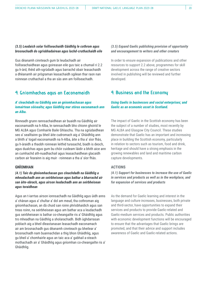#### *(3.5) Leudaich solar foillseachaidh Gàidhlig le cothrom agus brosnachadh do sgrìobhadairean agus luchd-cruthachaidh eile*

Gus dèanamh cinnteach gum bi leudachadh air foillseachaidhean agus goireasan eile gus taic a chumail ri 2.2 gu h-àrd, thèid ath-sgrùdadh agus barrachd obair leasachaidh a dhèanamh air prògraman leasachaidh sgilean thar raon nan roinnean cruthachail a tha an sàs ann am foillseachadh.

#### **4. Gnìomhachas agus an Eaconamaidh**

#### *A' cleachdadh na Gàidhlig ann an gnìomhachasan agus iomairtean sòisealta; agus Gàidhlig mar stòras eaconamach ann an Alba.*

Rinneadh grunn rannsachaidhean air buaidh na Gàidhlig air eaconamaidh na h-Alba, le rannsachadh bho chionn ghoirid le MG ALBA agus Comhairle Baile Ghlaschu. Tha na sgrùdaidhean seo a' sealltainn gu bheil àite cudromach aig a' Ghàidhlig ann a bhith a' togail eaconamaidh na h-Alba, àite a tha a' sìor fhàs, gu h-àraidh a thaobh roinnean leithid turasachd, biadh is deoch, agus dualchas agus gum bu chòir cuideam làidir a bhith aice ann an cumhachd ath-nuadhachail agus leasachaidhean glacaidh carbon air fearainn is aig muir - roinnean a tha a' sìor fhàs.

#### **GNÌOMHAN**

*(4.1) Taic do ghnìomhachasan gus cleachdadh na Gàidhlig a mheudachadh ann an seirbheisean agus bathar a bharrachd air san àite-obrach, agus airson leudachadh ann an seirbheisean agus toraidhean*

Agus an t-iarrtas airson ionnsachadh na Gàidhlig agus ùidh anns a' chànan agus a' chultar a' dol am meud, tha cothroman aig gnìomhachasan, an dà chuid san roinn phrìobhaidich agus san treas roinn, na seirbheisean agus am bathar aca a leudachadh gus seirbheisean is bathar co-cheangailte ris a' Ghàidhlig agus tro mheadhan na Gàidhlig a sholarachadh. Bidh ùghdarrasan poblach aig a bheil dleastanasan leasachadh eaconamach air am brosnachadh gus dèanamh cinnteach gu bheilear a' brosnachadh nam buannachdan a thig bhon Ghàidhlig, agus gu bheil a' chomhairle agus an taic aca a' gabhail a-steach mothachadh air a' Ghàidhlig agus gnìomhan co-cheangailte ris a' Ghàidhlig.

#### *(3.5) Expand Gaelic publishing provision of opportunity and encouragement to writers and other creators*

In order to ensure expansion of publications and other resources to support 2.2 above, programmes for skill development across the range of creative sectors involved in publishing will be reviewed and further developed.

#### **4. Business and the Economy**

#### *Using Gaelic in businesses and social enterprises; and Gaelic as an economic asset in Scotland.*

The impact of Gaelic in the Scottish economy has been the subject of a number of studies, most recently by MG ALBA and Glasgow City Council. These studies demonstrate that Gaelic has an important and increasing place in building the Scottish economy, particularly in relation to sectors such as tourism, food and drink, heritage and should have a strong emphasis in the growing renewables and land and maritime carbon capture developments.

#### **ACTIONS**

*(4.1) Support for businesses to increase the use of Gaelic in services and products as well as in the workplace, and for expansion of services and products*

As the demand for Gaelic learning and interest in the language and culture increases, businesses, both private and third-sector, have opportunities to expand their services and products to provide Gaelic-related and Gaelic-medium services and products. Public authorities with economic development functions will be encouraged to ensure that the advantages that Gaelic brings are promoted, and that their advice and support includes awareness of Gaelic and Gaelic-related actions.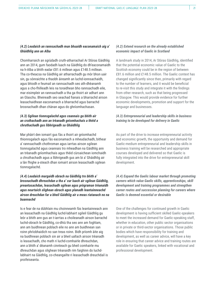#### *(4.2) Leudaich an rannsachadh mun bhuaidh eaconamaich aig a' Ghàidhlig ann an Alba*

Chomharraich an sgrùdadh cruth-atharrachail Ar Stòras Gàidhlig ann an 2014, gum faodadh luach na Gàidhlig do dh'eaconamaidh na h-Alba a bhith eadar £81.6 millean agus £148.5 millean. Tha co-theacsa na Gàidhlig air atharrachadh gu mòr bhon uair sin, gu sònraichte a thaobh àireamh an luchd-ionnsachaidh, agus bhiodh e feumail an rannsachadh seo ath-dhèanamh agus a cho-fhilleadh leis na toraidhean bho rannsachadh eile, mar eisimpleir an rannsachadh a tha ga thoirt air adhart ann an Glaschu. Bheireadh seo seachad fianais a bharrachd airson leasachaidhean eaconamach a bharrachd agus barrachd brosnachadh dhan chànan agus do ghnìomhachasan.

#### *(4.3) Sgilean tionnsgalachd agus ceannais gu bhith air an cruthachadh ann an trèanadh gnìomhachais a thèid a chruthachadh gus lìbhrigeadh sa Ghàidhlig*

Mar phàirt den iomairt gus fàs a thoirt air gnìomhachd thionnsgalach agus fàs eaconamach a mheudachadh, bithear a' rannsachadh chothroman agus iarrtas airson sgilean tionnsgalachd agus ceannais tro mheadhan na Gàidhlig ann an trèanadh gnìomhachais agus thèid cùrsaichean iomchaidh a chruthachadh agus a lìbhrigeadh gus am bi a' Ghàidhlig air a làn fhighe a-steach dhan iomairt airson leasachadh sgilean tionnsgalachd.

#### *(4.4) Leudaich margaidh obrach na Gàidhlig tro bhith a' brosnachadh dhreuchdan a tha a' cur luach air sgilean Gàidhlig, preantasachdan, leasachadh sgilean agus prògraman trèanaidh agus neartaich slighean obrach agus planadh leantainneachd airson dreuchdan far a bheil Gàidhlig air a meas riatanach no na buannachd*

Is e fear de na dùbhlain mu choinneamh fàs leantainneach ann an leasachadh na Gàidhlig luchd-labhairt sgileil Gàidhlig gu leòr a bhith ann gus an t-iarrtas a choileanadh airson barrachd luchd-obrach le Gàidhlig, co-dhiù tha seo ann am foghlam, ann am buidhnean poblach eile no ann am buidhnean san roinn phrìobhaidich no san treas roinn. Bidh prìomh àite aig na buidhnean poblach sin air a bheil uallach airson trèanadh is leasachadh, cho math ri luchd-comhairle dhreuchdan, ann a bhith a' dèanamh cinnteach gu bheil comhairle mu dhreuchdan agus slighean trèanaidh rim faighinn do luchdlabhairt na Gàidhlig, co-cheangailte ri leasachadh dreuchdail is proifeiseanta.

#### *(4.2) Extend research on the already established economic impact of Gaelic in Scotland*

A landmark study in 2014, Ar Stòras Gàidhlig, identified that the potential economic value of Gaelic to the Scottish economy could be in the region of between £81.6 million and £148.5 million. The Gaelic context has changed significantly since then, primarily with regard to the number of learners, and it would be beneficial to re-visit this study and integrate it with the findings from other research, such as that being progressed in Glasgow. This would provide evidence for further economic developments, promotion and support for the language and businesses.

#### *(4.3) Entrepreneurial and leadership skills in business training to be developed for delivery in Gaelic*

As part of the drive to increase entrepreneurial activity and economic growth, the opportunity and demand for Gaelic-medium entrepreneurial and leadership skills in business training will be researched and appropriate courses developed and delivered so that Gaelic is fully integrated into the drive for entrepreneurial skill development.

*(4.4) Expand the Gaelic labour market through promoting careers which value Gaelic skills, apprenticeships, skill development and training programmes and strengthen career routes and succession planning for careers where Gaelic is deemed essential or desirable*

One of the challenges for continued growth in Gaelic development is having sufficient skilled Gaelic-speakers to meet the increased demand for Gaelic-speaking staff, whether in education, other public sector organisations or in private or third-sector organisations. Those public bodies which have responsibility for training and development, as well as career advice, will have a key role in ensuring that career advice and training routes are available for Gaelic speakers, linked with vocational and professional development.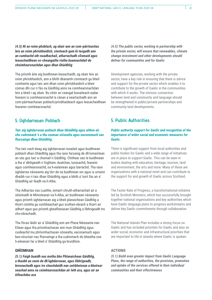*(4.5) Nì an roinn phoblach, ag obair ann an com-pàirteachas leis an roinn phrìobhaidich, cinnteach gum bi tasgadh ann an cumhachd ath-nuadhachail, atharrachadh clìomaid agus leasachaidhean co-cheangailte riutha buannachdail do choimhearsnachdan agus dhan Ghàidhlig*

Tha prìomh àite aig buidhnean leasachaidh, ag obair leis an roinn phrìobhaidich, ann a bhith dèanamh cinnteach gu bheil comhairle agus taic ann dhan roinn phrìobhaidich a bheir comas dhi cur ri fàs na Gàidhlig anns na coimhearsnachdan leis a bheil i ag obair. Bu chòir an ceangal bunaiteach eadar fearann is coimhearsnachd is cànan a neartachadh ann an com-pàirteachasan poblach/prìobhaideach agus leasachaidhean fearainn coimhearsnachd.

### **5. Ùghdarrasan Poblach**

#### *Taic aig ùghdarrasan poblach dhan Ghàidhlig agus aithne air cho cudromach 's a tha ceuman sòisealta agus eaconomach nas fharsainge dhan Ghàidhlig.*

Tha taic nach beag aig ùghdarrasan ionadail agus buidhnean poblach dhan Ghàidhlig agus tha raon farsaing de dh'iomairtean an sàs gus taic a chumail ri Gàidhlig. Chithear seo le buidhnean a tha a' dèiligeadh ri foghlam, dualchas, turasachd, fearann agus coimhearsnachd, na h-ealainean agus barrachd. Tha raon ùghdarras nàiseanta aig tòrr de na buidhnean sin agus is urrainn dhaibh cur ri taic dhan Ghàidhlig agus a bhith a' toirt fàs air a' Ghàidhlig air feadh na h-Alba.

Tha Adhartas nas Luaithe, iomairt chruth-atharrachail air a stiùireadh le Ministearan na h-Alba, air buidhnean nàiseanta agus prìomh ùghdarrasan aig a bheil planaichean Gàidhlig a thoirt còmhla gu soirbheachail gus sruthan-obrach a thoirt air adhart agus gus prìomh ghealltanasan Gàidhlig a lìbhrigeadh tro cho-obrachadh.

Tha fòcas làidir air a' Ghàidhlig ann am Plana Nàiseanta nan Eilean agus tha prìomhachasan ann mun Ghàidhlig agus cuideachd mu phrìomhachasan sòisealta, eaconamach agus bun-structair nas fharsainge a tha cudromach do bheatha sna h-eileanan far a bheil a' Ghàidhlig ga bruidhinn.

#### **GNÌOMHAN**

*(5.1) Faigh buaidh nas motha bho Phlanaichean Gàidhlig, a thaobh an raoin de dh'ùghdarrasan, agus lìbhrigeadh, brosnachadh agus ìre cleachdaidh nan seirbheisean a bheirear seachad anns na coimhearsnachdan air leth aca, agus air an èifeachdas aca*

*(4.5) The public sector, working in partnership with the private sector, will ensure that renewables, climate change investment and other developments should deliver for communities and for Gaelic*

Development agencies, working with the private sector, have a key role in ensuring that there is advice and support for the private sector which enables it to contribute to the growth of Gaelic in the communities with which it works. The intrinsic connection between land and community and language should be strengthened in public/private partnerships and community land developments.

### **5. Public Authorities**

#### *Public authority support for Gaelic and recognition of the importance of wider social and economic measures for Gaelic.*

There is significant support from local authorities and public bodies for Gaelic and a wide range of initiatives are in place to support Gaelic. This can be seen in bodies dealing with education, heritage, tourism, land and environment, the arts and more. Many of these are organisations with a national remit and can contribute to the support for and growth of Gaelic across Scotland.

The Faster Rate of Progress, a transformational initiative led by Scottish Ministers, which has successfully brought together national organisations and key authorities which have Gaelic language plans to progress workstreams and deliver key Gaelic commitments through collaboration.

The National Islands Plan includes a strong focus on Gaelic and has included priorities for Gaelic and also on wider social, economic and infrastructural priorities that are important to life in islands where Gaelic is spoken.

#### **ACTIONS**

*(5.1) Build even greater impact from Gaelic Language Plans, the range of authorities, the provision, promotion and uptake of the services offered in their individual communities and their effectiveness*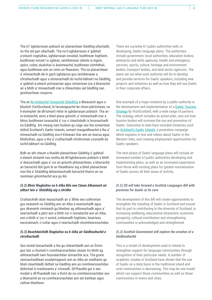Tha 67 ùghdarrasan poblach air planaichean Gàidhlig ullachadh, no tha iad gan ullachadh. Tha na h-ùghdarrasan a' gabhail a-steach riaghaltas, ùghdarrasan ionadail, buidhnean foghlaim, buidhnean iomairt is sgilean, seirbheisean slàinte is èiginn, spòrs, cultar, dualchas is àrainneachd, buidhnean còmhdhail, agus buidhnean ann an roinn an fhearainn. Tha na planaichean a' mìneachadh dè nì gach ùghdarras gus seirbheisean a chruthachadh agus a sholarachadh do luchd-labhairt na Gàidhlig, a' gabhail a-steach pròiseactan agus iomairtean ùra a bharrachd air a bhith a' mìneachadh mar a chleachdas iad Gàidhlig nan gnothaichean corporra.

Tha an [Ro-innleachd Turasachd Ghàidhlig](https://www.visitscotland.org/about-us/what-we-do/working-in-partnership/gaelic-tourism-strategy) a dheasaich agus a bhuilich VisitScotland, le farsaingeachd de chom-pàirtichean, na h-eisimpleir de dh'iomairt mhòr le ùghdarrasan poblach. Tha an ro-innleachd, anns a bheil plana gnìomh, a' mìneachadh mar a bhios buidhnean turasachd a' cur ri cleachdadh is brosnachadh na Gàidhlig. Am measg nam builean gu ruige seo tha iomairtean leithid Scotland's Gaelic Islands, iomairt margaidheachd a tha a' mìneachadh na Gàidhlig sna h-Eileanan Siar ann an teacsa agus bhidiothan, agus a tha a' cruthachadh chothroman cosnaidh do luchd-labhairt na Gàidhlig.

Bidh an ath cheum a thaobh planaichean Gàidhlig a' gabhail a-steach àireamh nas motha de dh'ùghdarrasan poblach a bhith a' deasachadh agus a' cur an gnìomh phlanaichean, a bharrachd air barrachd dùil gum bi an fheadhainn aig a bheil planaichean mar-thà a' Ghàidhlig àbhaisteachadh barrachd thairis air na raointean gnìomhachd aca gu lèir.

#### *(5.2) Bheir Riaghaltas na h-Alba Bile nan Cànan Albannach air adhart leis a' Ghàidhlig aig a chridhe*

Cruthaichidh obair leasachaidh air a' Bhile seo cothroman gus seasamh na Gàidhlig ann an Alba a neartachadh agus gus dèanamh cinnteach gu bheilear ag aithneachadh agus a' neartachadh a pàirt ann a bhith cur ri iomadachd ann an Alba, ann a bhith a' cur ri sunnd, coileanadh foghlaim, beairteas eaconamach, ri cultar agus ri neartachadh choimhearsnachdan.

#### *(5.3) Beachdaichidh Riaghaltas na h-Alba air Gàidhealtachd a chruthachadh*

Seo modal leasachaidh a tha ga chleachdadh ann an Èirinn gus taic a chumail ri coimhearsnachdan cànain tro bhith ag aithneachadh nam feumalachdan sònraichte aca. Tha grunn rannsachaidhean acadaimigeach ann an Alba air sealltainn gu bheil cleachdadh làitheil na Gàidhlig ann an coimhearsnachdan dùthchail is traidiseanta a' crìonadh. Dh'fhaodte gur e seo modail a dh'fhaodadh taic a thoirt do na coimhearsnachdan seo a bharrachd air na coimhearsnachdan ann am bailtean agus cathair-bhailtean.

There are currently 67 public authorities with, or developing, Gaelic language plans. The authorities include government, local authorities, education bodies, enterprise and skills agencies, health and emergency services, sports, culture, heritage and environment bodies, transport bodies, and land sector agencies. The plans set out what each authority will do to develop and provide services for Gaelic speakers, including new projects and initiatives as well as how they will use Gaelic in their corporate affairs.

One example of a major initiative by a public authority is the development and implementation of a [Gaelic Tourism](https://www.visitscotland.org/about-us/what-we-do/working-in-partnership/gaelic-tourism-strategy)  [Strategy](https://www.visitscotland.org/about-us/what-we-do/working-in-partnership/gaelic-tourism-strategy) by VisitScotland, with a wide range of partners. The strategy, which includes an action plan, sets out how tourism bodies will increase the use and promotion of Gaelic. Outcomes to date have included initiatives such as [Scotland's Gaelic Islands,](https://www.visitouterhebrides.co.uk/blog/read/2021/09/the-outer-hebrides-scotlands-gaelic-islands-b48) a promotion campaign which explains in text and videos about Gaelic in the Western Isles, and creating employment opportunities for Gaelic speakers.

The next phase of Gaelic language plans will include an increased number of public authorities developing and implementing plans, as well as an increased expectation from those with existing plans for greater normalisation of Gaelic across all their areas of activity.

#### *(5.2) SG will take forward a Scottish Languages Bill with provision for Gaelic at its core*

The development of this Bill will create opportunities to strengthen the standing of Gaelic in Scotland and ensure that its part in contributing to the diversity of Scotland, in increasing wellbeing, educational attainment, economic prosperity, cultural contribution and strengthening communities is acknowledged and strengthened.

#### *(5.3) Scottish Government will explore the creation of a Gàidhealtachd*

This is a model of development used in Ireland to strengthen support for language communities through recognition of their particular needs. A number of academic studies in Scotland have shown that the use of Gaelic on a daily basis in the traditional island and rural communities is decreasing. This may be one model which can support those communities as well as those communities in towns and cities.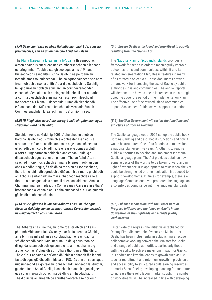#### *(5.4) Dèan cinnteach gu bheil Gàidhlig mar phàirt de, agus na prìomhachas, ann an gnìomhan bho Achd nan Eilean*

Tha [Plana Nàiseanta Eileanan na h-Alba](https://www.gov.scot/publications/national-plan-scotlands-islands/) na fhrèam-obrach airson obair gus cur ri leas nan coimhearsnachdan eileanach gu brìoghmhor. Taobh a-staigh seo agus anns a' Phlana Buileachaidh ceangailte ris, tha Gàidhlig na pàirt ann an iomadh amas ro-innleachdail. Tha na sgrìobhainnean seo nam frèam-obrach airson a bhith a' cur ri cleachdadh na Gàidhlig le ùghdarrasan poblach agus ann an coimhearsnachdan eileanach. Seallaidh na h-aithisgean bliadhnail mar a thathar a' cur ri a cleachdadh anns na h-amasan ro-innleachdail tro bheatha a' Phlana Buileachaidh. Cumaidh cleachdadh èifeachdach den Stiùireadh ùraichte air Measadh Buaidh Coimhearsnachdan Eileanach taic ris a' ghnìomh seo.

#### *(5.5) Nì Riaghaltas na h-Alba ath-sgrùdadh air gnìomhan agus structaran Bòrd na Gàidhlig*

Stèidhich Achd na Gàidhlig 2005 a' bhuidheann phoblach Bòrd na Gàidhlig agus mhìnich e a dhleastanasan agus a structar. Is e fear de na dleastanasan aige plana nàiseanta ullachadh gach còig bliadhna. Is e fear eile comas a bhith a' toirt air ùghdarrasan poblach planaichean Gàidhlig a dheasachadh agus a chur an gnìomh. Tha an Achd a' toirt seachad mion-fhiosrachadh air mar a bheirear taobhan den obair air adhart agus, às dèidh na tha sinn air ionnsachadh, tha e iomchaidh ath-sgrùdadh a dhèanamh air mar a ghabhadh an Achd a neartachadh no mar a ghabhadh reachdas eile a thoirt a-steach gus taic a chumail ri leasachaidhean. Anns a' Chuimrigh mar eisimpleir, tha Coimiseanair Cànain ann a tha a' brosnachadh a' chànain agus a tha cuideachd a' cur an gnìomh gèilleadh ri inbhean cànain.

#### *(5.6) Cuir ri gluasad le iomairt Adhartas nas Luaithe agus fòcas air Gàidhlig ann an struthan-obrach Co-chruinneachadh na Gàidhealtachd agus nan Eilean*

Tha Adhartas nas Luaithe, an iomairt a stèidhich an Leasphrìomh Mhinistear Iain Swinney mar Mhinistear na Gàidhlig air a bhith na mheadhan air co-obrachadh èifeachdach a stèidheachadh eadar Ministear na Gàidhlig agus raon de dh'ùghdarrasan poblach, gu sònraichte an fheadhainn aig a bheil comas a' bhuaidh as motha a thoirt air a' Ghàidhlig. Tha e a' cur aghaidh air prìomh dhùbhlain a thaobh fàs leithid fastadh agus glèidheadh thidsearan FtG; fàs ann an solar, agus ruigsinneachd air goireasan ionnsachaidh inbheach le structar, gu sònraichte SpeakGaelic; leasachadh planadh agus slighean gus solar margaidh obrach na Gàidhlig a mheudachadh. Thèid cuir ris an àireamh de shruthan-obrach a rèir prìomh

#### *(5.4) Ensure Gaelic is included and prioritised in activity resulting from the Islands Act*

The [National Plan for Scotland's Islands](https://www.gov.scot/publications/national-plan-scotlands-islands/) provides a framework for action in order to meaningfully improve outcomes for island communities. Within it and its related Implementation Plan, Gaelic features in many of its strategic objectives. These documents provide a framework for increasing the use of Gaelic by public authorities in island communities. The annual reports will demonstrate how its use is increased in the strategic objectives over the period of the Implementation Plan. The effective use of the revised Island Communities Impact Assessment Guidance will support this action.

#### *(5.5) Scottish Government will review the functions and structures of Bòrd na Gàidhlig*

The Gaelic Language Act of 2005 set up the public body Bòrd na Gàidhlig and described its functions and how it would be structured. One of its functions is to develop a national plan every five years. Another is to require public authorities to develop and implement individual Gaelic language plans. The Act provides detail on how some aspects of the work is to be taken forward and in light of experience, it is appropriate to review how the Act could be strengthened or other legislation introduced to support developments. In Wales for example, there is a Language Commissioner who promotes the language and also enforces compliance with the language standards.

#### *(5.6) Enhance momentum with the Faster Rate of Progress initiative and the focus on Gaelic in the Convention of the Highlands and Islands (CoHI) workstreams*

Faster Rate of Progress, the initiative established by Deputy First Minister John Swinney as Minister for Gaelic has been instrumental in establishing effective collaborative working between the Minister for Gaelic and a range of public authorities, particularly those with the ability to achieve maximum impact for Gaelic. It is addressing key challenges to growth such as GM teacher recruitment and retention; growth in provision of, and accessibility to structured adult learning resources, primarily SpeakGaelic; developing planning for and routes to increase the Gaelic labour market supply. The number of workstreams will be increased in line with developing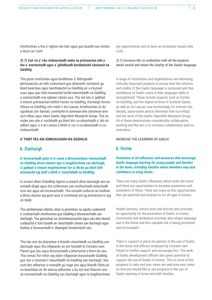chothroman a tha a' tighinn am bàrr agus gus buaidh nas motha a thoirt air CoHI.

#### *(5.7) Cuir ris a' cho-òrdanachadh eadar na pròiseactan uile a tha a' neartachadh agus a' glèidheadh beothalachd cànanach na Gàidhlig*

Tha grunn institiudan agus buidhnean a' lìbhrigeadh phròiseactan air leth cudromach gus dèanamh cinnteach gu bheil beairteas agus beothalachd na Gàidhlig air a chumail suas agus gun tèid misneachd luchd-cleachdaidh na Gàidhlig a neartachadh sna sgilean cànain aca. Tha iad seo a' gabhail a-steach pròiseactan leithid Faclair na Gàidhlig, Dachaigh Airson Stòras na Gàidhlig, cho math ri An Leacan, briathrachas ùr do sgoiltean (An Seotal), comhairle le ainmean-àite (Ainmean-àite na h-Alba) agus obair Gaelic Algorithm Research Group. Tha na rudan seo uile a' nochdadh gu bheil tòrr co-obrachaidh a' dol air adhart agus 's e an t-amas a bhith a' cur ri co-obrachadh is coòrdanachadh.

#### **A' TOIRT FÀS AIR IONNSACHADH NA GÀIDHLIG**

#### **6. Dachaigh**

*A' brosnachadh gach nì is ceum a bhrosnaicheas ionnsachadh na Gàidhlig airson daoine òga is teaghlaichean san dachaigh, a' gabhail a-steach teaghlaichean far is dòcha gu bheil dìth misneachd aig buill a bhith a' cleachdadh na Gàidhlig.*

Is urrainn dhan Ghàidhlig tighinn a-steach dhan dachaigh ann an iomadh dòigh agus tha cothroman ann mothachadh àrdachadh orra seo agus am brosnachadh. Tha iomadh cothrom air-loidhne a bhios daoine aig gach aois a' coimhead air/ag èisteachd ris aig an taigh.

Tha seirbheisean slàinte, obair is gnìomhan na sgoile cuideachd a' cruthachadh chothroman gus Gàidhlig a bhrosnachadh san dachaigh. Tha gnìomhan sa choimhearsnachd agus san àite obrach cuideachd a' toirt buaidh air cleachdadh cànain san dachaigh agus thathar a' brosnachadh a' cheangail chudromaich seo.

Tha taic ann do phàrantan a thaobh cleachdadh na Gàidhlig san dachaigh agus tha oifigearan air am fastadh le Comann nam Pàrant gus taic agus brosnachadh a bharrachd a thoirt do seo. Tha comas fìor mhòr aig obair oifigearan leasachaidh Gàidhlig gus taic a chumail ri cleachdadh na Gàidhlig san dachaigh. Seo cuid den adhartas a rinneadh gu ruige seo agus bhiodh fàilte air na beachdan air dè seòrsa adhartais a bu toil leat fhaicinn ann an ionnsachadh na Gàidhlig san dachaigh agus le teaghlaichean. key opportunities and to have an increased impact with CoHI.

#### *(5.7) Increase the co-ordination with all the projects which enrich and retain the vitality of the Gaelic language*

A range of institutions and organisations are delivering critically important projects to ensure that the richness and vitality of the Gaelic language is sustained and that confidence of Gaelic users in their language skills is strengthened. These include projects such as Faclair na Gàidhlig, and the Digital Archive of Scottish Gaelic, as well as An Leacan, new terminology for schools (An Seotal), place-name advice (Ainmean-Àite na h-Alba) and the work of the Gaelic Algorithm Research Group. All of these demonstrate considerable collaborative working and the aim is to increase collaboration and coordination.

#### **INCREASE THE LEARNING OF GAELIC**

#### **6. Home**

*Promotion of all influences and measures that encourage Gaelic language learning for young people and families in the home, including families where members may lack confidence in using Gaelic.*

There are many Gaelic influences which enter the home and there are opportunities to increase awareness and promotion of these. There are many on-line opportunities that are watched and listened to for all ages in homes.

Health services, school work and activity also provides an opportunity for the promotion of Gaelic in homes. Community and workplace activities also shape language use in the home and this valuable link is being promoted and encouraged.

There is support in place for parents in the use of Gaelic in the home and officers employed by Comann nam Pàrant to further support and encourage this. The work of Gaelic development officers has great potential to support the use of Gaelic in homes. This is some of the progress to date and your views are welcome your views on how you would like to see progress in the use of Gaelic learning in home and with families.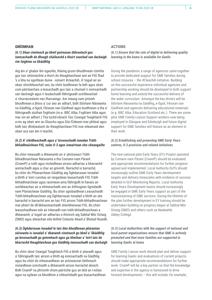#### **GNÌOMHAN**

#### *(6.1) Dèan cinnteach gu bheil goireasan didseatach gus ionnsachadh de dheagh chàileachd a thoirt seachad san dachaigh rim faighinn sa Ghàidhlig*

Aig àm a' ghalair lèir-sgaoilte, thàinig grunn bhuidhnean còmhla gus taic shònraichte a thoirt do theaghlaichean ann an FtG fhad 's a bha na sgoiltean duine - iomairt #cleachdi. A' togail air an obair shoirbheachail seo, bu chòir buidhnean fa leth agus obair com-pàirteachais a leasachadh gus taic a chumail ri ionnsachadh san dachaigh agus ri leudachadh lìbhrigeadh soirbheachail a' churraicealaim nas fharsainge. Am measg nam prìomh bhuidhnean a bhios a' cur seo air adhart, bidh Stòrlann Nàiseanta na Gàidhlig, e-Sgoil, Fèisean nan Gàidheal agus buidhnean a tha a' lìbhrigeadh stuthan foghlaim (m.e. BBC Alba, Foghlam Alba agus mar sin air adhart.) Tha luchd-obrach Taic Ceangal Teaghlaich FtG a-nis ag obair ann an Glaschu agus Dùn Èideann mar phìleat agus bidh taic dhidseatach do theaghlaichean FtG mar eileamaid den obair aca san àm ri teachd.

#### *(6.2) A' stèidheachadh agus a' brosnachadh ionadan Tràthbhliadhnaichean FtG, solar 0-3 agus iomairtean cho-cheangailte*

Bu chòir measadh a dhèanamh air a' phròiseact Tràthbhliadhnaichean Nàiseanta a tha Comann nam Pàrant (CnamP) a ruith agus molaidhean airson adhartas a bharrachd aontachadh agus a chur an gnìomh. Barrachd is barrachd, bu chòir do Phlanaichean Gàidhlig aig Ùghdarrasan Ionadail a bhith a' toirt cunntas air targaidean leasachaidh FtG Tràthbhliadhnaichean agus raointean-ama lìbhrigidh le fianais air soirbheachas air a mhìneachadh ann an Aithisgean Sgrùdaidh nam Planaichean Gàidhlig. Bu chòir sgiobaidhean Leasachaidh Tràth-bhliadhnaichean aig Ùghdarrasan Ionadail a bhith an sàs barrachd is barrachd ann an taic FtG airson Tràth-bhliadhnaichean mar phàirt de dh'àbhaisteachadh sheirbheisean FtG. Bu chòir leasachaidhean eile air trèanadh nan tràth-bhliadhnaichean a dhèanamh, a' togail air adhartas a thòisich aig Sabhal Mòr Ostaig (SMO) agus àiteachan eile leithid Colaiste Abaid a' Bhatail Nuaidh.

#### *(6.3) Ùghdarrasan Ionadail le taic bho bhuidhnean phàrantan nàiseanta is ionadail a' dèanamh cinnteach gu bheil a' Ghàidhlig ga brosnachadh gu gnìomhach agus gu bheilear a' toirt taic do bharrachd theaghlaichean gus Gàidhlig ionnsachadh san dachaigh*

Bu chòir obair Ceangal Teaghlaich FtG a bhith a' planadh agus a' lìbhrigeadh taic airson a bhith ag ionnsachadh na Gàidhlig agus bu chòir do mheasaidhean air pròiseactan làithreach molaidhean iomchaidh a dhèanamh airson barrachd obrach. Bidh CnamP na phrìomh chom-pàirtiche gus an tèid an t-eòlas agus na sgilean sa bhuidhinn a chleachdadh gus leasachaidhean

#### **ACTIONS**

#### *(6.1) Ensure that the role of digital in delivering quality learning in the home is available for Gaelic*

During the pandemic a range of agencies came together to provide dedicated support for GME families during school closures – the #Cleachdi initiative. Building on this successful experience individual agencies and partnership working should be developed to both support home learning and extend the successful delivery of the wider curriculum. Amongst the key drivers will be Stòrlann Nàiseanta na Gàidhlig, e-Sgoil, Fèisean nan Gàidheal and agencies delivering educational materials (e.g. BBC Alba, Education Scotland etc.). There are some pilot GME Family Liaison Support workers now being employed in Glasgow and Edinburgh and future digital support for GME families will feature as an element in their work.

#### *(6.2) Establishing and promoting GME Early Years centres, 0-3 provision and related initiatives*

The new national pilot Early Years (EY) Project operated by Comann nam Pàrant (CnamP) should be evaluated and appropriate recommendations for further progress agreed and implemented. Local Authority GLPs should increasingly outline GME Early Years development targets and delivery timescales with evidence of success detailed in GLP Monitoring Reports. Local Authority Early Years Development teams should increasingly be engaged in GME Early Years support as part of the mainstreaming of GME services. During the lifetime of the plan further development in EY training should be undertaken building on progress begun at Sabhal Mòr Ostaig (SMO) and others such as Newbattle Abbey College.

#### *(6.3) Local Authorities with the support of national and local parent organisations ensure that GME is actively promoted and that more families are supported in learning Gaelic at home*

GME Family Liaison work should plan and deliver support for learning Gaelic and evaluations of current projects should make appropriate recommendations for further work. CnamP will be a key partner so that the knowledge and expertise in the agency is harnessed to drive forward developments – this will include, for example,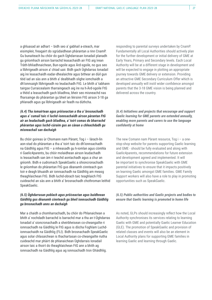a ghluasad air adhart – bidh seo a' gabhail a-steach, mar eisimpleir, freagairt do sgrùdaidhean phàrantan a rinn CnamP. Gu bunaiteach bu chòir do gach Ùghdarrasan Ionadail planadh gu gnìomhach airson barrachd leasachaidh air FtG aig ìrean Tràth-bhliadhnaichean, Bun-sgoile agus Àrd-sgoile, no gus seo a lìbhrigeadh airson a' chiad uair. Bidh gach Ùghdarras Ionadail aig ìre leasachaidh eadar-dhealaichte agus bithear an dùil gun tèid iad an sàs ann a bhith a' dealbhadh slighe iomchaidh a dh'ionnsaigh lìbhrigeadh no leudachadh FtG. Le bhith a' tabhann tairgse Curraicealaim tharraingeach aig ìre na h-Àrd-sgoile FtG a thèid a leasachadh gach bliadhna, bheir seo misneachd nas fharsainge do phàrantan gu bheil an lèirsinn FtG airson 3-18 ga phlanadh agus ga lìbhrigeadh air feadh na dùthcha.

#### *(6.4) Tha iomairtean agus pròiseactan a tha a' brosnachadh agus a' cumail taic ri luchd-ionnsachaidh airson pàrantan FtG air an leudachadh gach bliadhna, a' toirt comas do bharrachd phàrantan agus luchd-cùraim gus an cànan a chleachdadh gu misneachail san dachaigh*

Bu chòir goireas ùr Chomann nam Pàrant, Tog i – làrach-lìn aon-stad do phàrantan a tha a' toirt taic do dh'ionnsachadh na Gàidhlig agus FtG – a mheasadh gu h-iomlan agus còmhla ri Gaelic4parents, bu chòir molaidhean airson leudachadh is leasachadh san àm ri teachd aontachadh agus a chur an gnìomh. Bidh e cudromach SpeakGaelic a shioncronachadh le gnìomhan do phàrantan FtG gus dèanamh cinnteach gun toir e deagh bhuaidh air ionnsachadh na Gàidhlig am measg theaghlaichean FtG. Bidh luchd-obrach taic teaghlaich FtG cuideachd an sàs ann a bhith a' brosnachadh chothroman leithid SpeakGaelic.

#### *(6.5) Ùghdarrasan poblach agus pròiseactan agus buidhnean Gàidhlig gus dèanamh cinnteach gu bheil ionnsachadh Gàidhlig ga brosnachadh anns an dachaigh*

Mar a chaidh a chomharrachadh, bu chòir do Phlanaichean a bhith a' nochdadh barrachd is barrachd mar a tha an t-Ùghdarras Ionadail a' sioncronachadh a sheirbheisean co-cheangailte ri ionnsachadh na Gàidhlig le FtG agus is dòcha Foghlam Luchdionnsachaidh na Gàidhlig (FLI). Bidh brosnachadh SpeakGaelic agus solar chlasaichean is thachartasan co-cheangailte riutha cuideachd mar phàirt de phlanaichean Ùghdarrais Ionadail airson taic a thoirt do theaghlaichean FtG ann a bhith ag ionnsachadh na Gàidhlig agus ag ionnsachadh tron Ghàidhlig.

responding to parental surveys undertaken by CnamP. Fundamentally all Local Authorities should actively plan for the further development or initial delivery of GME at Early Years, Primary and Secondary levels. Each Local Authority will be at a different stage in development and will be expected to engage in plotting an appropriate journey towards GME delivery or extension. Providing an attractive GME Secondary Curriculum Offer which is developed annually will instil wider confidence amongst parents that the 3-18 GME vision is being planned and delivered across the country.

#### *(6.4) Initiatives and projects that encourage and support Gaelic learning for GME parents are extended annually, enabling more parents and carers to use the language confidently at home*

The new Comann nam Pàrant resource, Tog i – a onestop-shop website for parents supporting Gaelic learning and GME - should be fully evaluated and along with Gaelic4parents, recommendations for future extension and development agreed and implemented. It will be important to synchronise SpeakGaelic with GME parental initiatives to ensure that it impacts positively on learning Gaelic amongst GME families. GME Family Support workers will also have a role to play in promoting opportunities such as SpeakGaelic.

#### *(6.5) Public authorities and Gaelic projects and bodies to ensure that Gaelic learning is promoted in home life*

As noted, GLPs should increasingly reflect how the Local Authority synchronises its services relating to learning Gaelic with GME and potentially Gaelic Learner Education (GLE). The promotion of SpeakGaelic and provision of related classes and events will also be an element in Local Authority plans for supporting GME families in learning Gaelic and learning through Gaelic.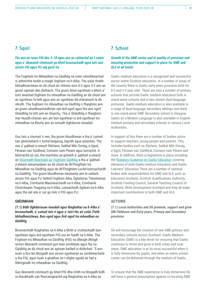#### **7. Sgoil**

#### *Fàs ann an roinn FtG bho 3-18 agus ann an càileachd an t-solair agus a' dèanamh cinnteach gu bheil brosnachadh agus taic ann airson FtG agus FLI aig gach ìre*

Tha Foghlam tro Mheadhan na Gàidhlig na roinn shoirbheachail is aithnichte taobh a-staigh foghlam na h-Alba. Tha solar thràthbhliadhnaichean an dà chuid do chloinn aois 0-3 agus 3-5 ann an grunn sgìrean den dùthaich. Tha grunn bhun-sgoiltean a bhios a' toirt seachad foghlam tro mheadhan na Gàidhlig an dà chuid ann an sgoiltean fa leth agus ann an sgoiltean dà-chànanach le dà shruth. Tha foghlam tro mheadhan na Gàidhlig ri fhaighinn ann an grunn shuidheachaidhean san àrd-sgoil agus tha aon sgoil Ghàidhlig fa leth ann an Glaschu. Tha a' Ghàidhlig ri fhaighinn mar Nuadh-chànan ann am bun-sgoiltean is àrd-sgoiltean tro mheadhan na Beurla ann an iomadh Ùghdarras Ionadail.

Gus taic a chumail ri seo, tha grunn bhuidhnean a tha a' cumail taic ghnìomhach ri luchd-teagaisg, òigridh agus pàrantan. Tha seo a' gabhail a-steach Stòrlann, Sabhal Mòr Ostaig, e-Sgoil, Fèisean nan Gaidheal, Comann nam Pàrant agus barrachd. A bharrachd air sin, tha reachdas an gnìomh a' gabhail a-steach an [Stiùireadh Reachdail air Foghlam Gàidhlig](https://www.gaidhlig.scot/wp-content/uploads/2017/01/Sti%C3%B9ireadh-Foghlam-airson-Foghlam-G%C3%A0idhlig-G.pdf) a tha a' gabhail a-steach eileamaidean an dà chuid de dh'Fhoghlam tro Mheadhan na Gàidhlig agus de dh'Fhoghlam Luchd-ionnsachaidh na Gàidhlig. Tha grunn bhuidhnean nàiseanta ann le uallach airson FtG agus FLI leithid Foghlam Alba, Ùghdarras Theisteanas na h-Alba, Comhairle Maoineachaidh na h-Alba, Comhairle Choitcheann Teagaisg na h-Alba, Leasachadh Sgilean na h-Alba agus tha iad uile a' cur gu mòr ri FtG agus FLI.

#### **GNÌOMHAN**

#### *(7.1) Bidh Ùghdarrasan Ionadail agus Riaghaltas na h-Alba a' brosnachadh, a' cumail taic ri agus a' toirt fàs air solar Tràthbhliadhnaichean, Bun-sgoil agus Àrd-sgoil tro mheadhan na Gàidhlig*

Brosnaichidh Riaghaltas na h-Alba a bhith a' cruthachadh bunsgoiltean agus àrd-sgoiltean FtG ùra air feadh na h-Alba. Tha Foghlam tro Mheadhan na Gàidhlig (FtG) na dheagh dhòigh airson dèanamh cinnteach gun lean soirbheas agus fàs na Gàidhlig an dà chuid ann an sgìrean bailteil is dùthchail. 'S ann nuair a tha làn bhogadh ann airson sgoilearan as soirbheachaile a tha FtG, agus nuair a ghabhas an t-slighe sgoile air fad a lìbhrigeadh tro mheadhan na Gàidhlig.

Gus dèanamh cinnteach gu bheil FtG dha-rìribh na bhogadh bidh ro-thaobhadh san fharsaingeachd aig Riaghaltas na h-Alba an

#### **7. School**

#### *Growth of the GME sector and in quality of provision and ensuring promotion and support in place for GME and GLE at all levels*

Gaelic medium education is a recognised and successful sector within Scottish education. In a number of areas of the country there is Gaelic early years provision both for 0-3 and 3-5 year olds. There are also a number of primary schools that provide Gaelic medium education both in stand-alone schools and in two stream dual-language primaries. Gaelic-medium education is also available in a range of dual-language secondary settings and there is one stand-alone GME Secondary school in Glasgow. Gaelic as a Modern Language is also available in Englishmedium primary and secondary schools in various Local Authorities.

In support of this there are a number of bodies active to support teachers, young people and parents. This includes bodies such as Stòrlann, Sabhal Mòr Ostaig, e-Sgoil, Fèisean nan Gàidheal, Comann nam Pàrant and more. In addition, there is legislation in place including the [Statutory Guidance on Gaelic Education](https://www.gaidhlig.scot/wp-content/uploads/2017/01/Statutory-Guidance-for-Gaelic-Education.pdf) covering elements of both Gaelic-medium Education and Gaelic Learners' Education There are a number of national bodies with responsibilities for GME and GLE such as Education Scotland, Scottish Qualifications Authority, Scottish Funding Council, General Teaching Council of Scotland, Skills Development Scotland and they all make important contributions to both GME and GLE.

#### **ACTIONS**

*(7.1) Local Authorities and SG promote, support and grow GM Childcare and Early years, Primary and Secondary provision*

SG will encourage the creation of new GME primary and secondary schools across Scotland. Gaelic Medium Education (GME) is a key driver for ensuring that Gaelic continues to thrive and grow in both urban and rural areas. GME education is at its most successful when it is fully immersive for pupils, and when an entire school career can be delivered through the medium of Gaelic.

To ensure that the GME experience is truly immersive SG will have a general presumption against co-locating GME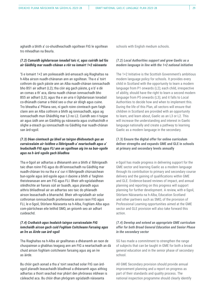aghaidh a bhith a' co-shuidheachadh sgoiltean FtG le sgoiltean tro mheadhan na Beurla.

#### *(7.2) Cumaidh ùghdarrasan ionadail taic ri, agus cuiridh iad fàs air Gàidhlig mar nuadh-chànan a rèir na iomairt 1+2 nàiseanta*

'S e Iomairt 1+2 am poileasaidh àrd-amasach aig Riaghaltas na h-Alba airson nuadh-chànanan ann an sgoiltean. Tha e a' toirt cothrom do gach pàiste ann an Alba nuadh-chànan ionnsachadh bho BS1 air adhart (L2); tha còir aig gach pàiste, g e b' e dè an comas a th' aca, dàrna nuadh chànan ionnsachadh bho BS5 air adhart (L3); agus tha e an urra ri Ùghdarrasan Ionadail co-dhùnadh ciamar a thèid seo a chur air dòigh agus cuine. Tro bheatha a' Phlana seo, nì gach roinn cinnteach gum faigh clann ann an Alba cothrom a bhith ag ionnsachadh, agus ag ionnsachadh mun Ghàidhlig mar L3 no L2. Cuiridh seo ri tuigse air agus ùidh ann an Gàidhlig gu nàiseanta agus cruthaichidh e slighe a-steach gu ionnsachadh na Gàidhlig mar nuadh-chànan san àrd-sgoil.

#### *(7.3) Dèan cinnteach gu bheil an tairgse dhidseatach gus an curraicealaim air-loidhne a lìbhrigeadh a' neartachadh agus a' leudachadh FtG agus FLI ann an sgoiltean aig ìre na bun-sgoile agus na h-àrd-sgoile gach bliadhna*

Tha e-Sgoil air adhartas a dhèanamh ann a bhith a' lìbhrigeadh taic dhan roinn FtG agus do dh'ionnsachadh na Gàidhlig mar nuadh-chànan tro na tha e a' cur ri lìbhrigeadh chùrsaichean bun-sgoile agus àrd-sgoile agus ri daoine a bhith a' faighinn theisteanasan ann am FtG agus FLI. Bheir ath-sgrùdaidhean stèidhichte air fianais sùil air buaidh, agus planadh agus aithris bhliadhnail air an adhartas seo taic do phlanadh airson leasachadh a bharrachd. Bheir ath-sgrùdadh air solar cothroman ionnsachaidh proifeiseanta airson raon FtG agus FLI, le e-Sgoil, Stòrlann Nàiseanta na h-Alba, Foghlam Alba agus com-pàirtichean eile leithid SMO, an gnìomh seo air adhart cuideachd.

#### *(7.4) Cruthaich agus leudaich tairgse curraicealaim FtG iomchaidh airson gach cuid Foghlam Coitcheann Farsaing agus an Ìre as Àirde san àrd-sgoil*

Tha Riaghaltas na h-Alba air gealltanas a dhèanamh an raon de chuspairean a ghabhas teagasg ann am FtG a neartachadh an dà chuid airson foghlam coitcheann farsaing agus aig an ìre as àirde.

Bu chòir gach aonad a tha a' toirt seachad solar FtG san àrdsgoil planadh leasachaidh bliadhnail a dhèanamh agus aithisg adhartas a thoirt seachad mar phàirt den phròiseas inbhean is càileachd aca. Bu chòir dhan phrògram sgrùdaidh nàiseanta

schools with English medium schools.

#### *(7.2) Local Authorities support and grow Gaelic as a modern language in line with the 1+2 national initiative*

The 1+2 Initiative is the Scottish Government's ambitious modern language policy for schools. It provides every child in Scotland with the opportunity to learn a modern language from P1 onwards (L2); each child, irrespective of ability, should have the right to learn a second modern language from P5 onwards (L3); and it falls to Local Authorities to decide how and when to implement this. During the life of this Plan, all sectors will ensure that children in Scotland are provided with an opportunity to learn, and learn about, Gaelic as an L3 or L2. This will increase the understanding and interest in Gaelic language nationally and create a pathway to learning Gaelic as a modern language in the secondary.

#### **(7.3) Ensure the digital offer for online curriculum deliver strengths and expands GME and GLE in schools at primary and secondary levels annually**

e-Sgoil has made progress in delivering support for the GME sector and learning Gaelic as a modern language through its contribution to primary and secondary course delivery and the gaining of qualifications within GME and GLE. Evidence-based reviews of impact, and annual planning and reporting on this progress will support planning for further development. A review, with e-Sgoil, Stòrlann Nàiseanta na h-Alba, Education Scotland and other partners such as SMO, of the provision of Professional Learning opportunities aimed at the GME sector and GLE provision will also take forward this action.

#### *(7.4) Develop and extend an appropriate GME curriculum offer for both Broad General Education and Senior Phase in the secondary sector*

SG has made a commitment to strengthen the range of subjects that can be taught in GME for both a broad general education and in the senior phase of secondary school.

All GME Secondary provision should provide annual improvement planning and a report on progress as part of their standards and quality process. The national inspection programme should clearly identify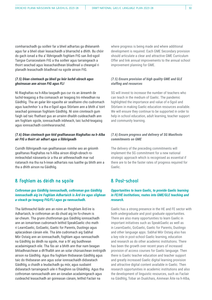comharrachadh gu soilleir far a bheil adhartas ga dhèanamh agus far a bheil obair leasachaidh a bharrachd a dhìth. Bu chòir do gach ionad a tha a' lìbhrigeadh foghlam FtG san Àrd-sgoil Tairgse Curraicealaim FtG a tha soilleir agus tarraingeach a thoirt seachad agus leasachaidhean bliadhnail a cheangal ri planadh leasachadh bliadhnail na sgoile airson FtG.

#### *(7.5) Dèan cinnteach gu bheil gu leòr luchd-obrach agus ghoireasan ann airson FtG agus FLI*

Nì Riaghaltas na h-Alba tasgadh gus cur ris an àireamh de luchd-teagaisg a tha comasach air teagasg tro mheadhan na Gàidhlig. Tha an galar lèir-sgaoilte air sealltainn cho cudromach agus luachmhor 's a tha e-Sgoil agus Stòrlann ann a bhith a' toirt seachad goireasan foghlaim Gàidhlig. Nì sinn cinnteach gum faigh iad taic fhathast gus an urrainn dhaibh cuideachadh ann am foghlam sgoile, ionnsachadh inbheach, taic luchd-teagaisg agus ionnsachadh coimhearsnachd.

#### *(7.6) Dèan cinnteach gun tèid gealltanasan Riaghaltas na h-Alba air FtG a thoirt air adhart agus a lìbhrigeadh*

Cuiridh lìbhrigeadh nan gealltanasan roimhe seo an gnìomh gealltanas Riaghaltas na h-Alba airson dòigh-obrach roinnleachdail nàiseanta ùr a tha air aithneachadh mar rud riatanach ma tha na h-ìrean adhartais nas luaithe gu bhith ann a tha a dhìth airson na Gàidhlig.

### **8. Foghlam às dèidh na sgoile**

#### *Cothroman gus Gàidhlig ionnsachadh, cothroman gus Gàidhlig ionnsachadh aig ìre Foghlam Adhartaich is Àrd-ìre agus slighean a-steach gu teagasg FtG/FLI agus gu rannsachadh.*

Tha làithreachd làidir ann an roinn an fhoghlam Àrd-ìre is Adhartaich, le cothroman an dà chuid aig ìre fo-cheum is iar-cheum. Tha grunn chothroman gus Gàidhlig ionnsachadh ann an iomairtean cudromach leithid SpeakGaelic cho math ri LearnGaelic, GoGaelic, Gaelic for Parents, Duolingo agus aplacaidean cànain eile. Tha àite cudromach aig Sabhal Mòr Ostaig ann an ionnsachadh, foghlam agus rannsachadh na Gàidhlig às dèidh na sgoile, mar a th' aig buidhnean acadaimigeach eile. Tha fàs air a bhith ann thar nam beagan bhliadhnaichean a dh'fhalbh ann an solar chùrsaichean inntrigidh airson na Gàidhlig. Agus tha foghlam thidsearan Gàidhlig agus taic do thidsearan ann agus solar ionnsachaidh didseatach Gàidhlig, a chaidh a leudachadh gu mòr, agus susbaint didseatach tarraingeach uile ri fhaighinn sa Ghàidhlig. Agus tha cothroman rannsachaidh ann an ionadan acadaimigeach agus cuideachd leasachadh air goireasan cànain, leithid Faclair na

where progress is being made and where additional development is required. Each GME Secondary provision should articulate a clear and attractive GME Curriculum Offer and link annual improvements to the annual school improvement planning for GME.

#### *(7.5) Ensure provision of high quality GME and GLE staffing and resources*

SG will invest to increase the number of teachers who can teach in the medium of Gaelic. The pandemic highlighted the importance and value of e-Sgoil and Stòrlann in making Gaelic education resources available. We will ensure they continue to be supported in order to help in school education, adult learning, teacher support and community learning.

#### *(7.6) Ensure progress and delivery of SG Manifesto commitments on GME*

The delivery of the preceding commitments will implement the SG commitment for a new national strategic approach which is recognised as essential if there are to be the faster rates of progress required for Gaelic.

### **8. Post-school**

#### *Opportunities to learn Gaelic, to provide Gaelic learning in FE/HE institutions, routes into GME/GLE teaching and research.*

Gaelic has a strong presence in the HE and FE sector with both undergraduate and post graduate opportunities. There are also many opportunities to learn Gaelic in important initiatives such as SpeakGaelic as well as in LearnGaelic, GoGaelic, Gaelic for Parents, Duolingo and other language apps. Sabhal Mòr Ostaig also has a key role in post-school Gaelic learning, education and research as do other academic institutions. There has been the growth over recent years of increased provision of access courses for Gaelic language. Then there is Gaelic teacher education and teacher support and greatly increased Gaelic digital learning provision and attractive digital content available in Gaelic. Then research opportunities in academic institutions and also the development of linguistic resources, such as Faclair na Gàidhlig, Tobar an Dualchais, Ainmean Àite na h-Alba,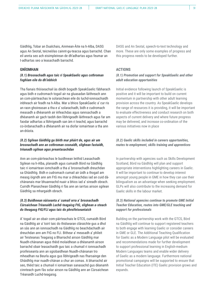Gàidhlig, Tobar an Dualchais, Ainmean-Àite na h-Alba, DASG agus An Seotal, teicneòlas cainnt-gu-teacsa agus barrachd. Chan eil annta seo ach eisimpleirean de dh'adhartas agus feumar an t-adhartas seo a leasachadh barrachd.

#### **GNÌOMHAN**

#### *(8.1) Brosnachadh agus taic ri SpeakGaelic agus cothroman foghlam eile do dh'inbhich*

Tha fianais thòiseachail às dèidh bogadh SpeakGaelic fàbharach agus bidh e cudromach togail air na gluasadan làithreach ann an com-pàirteachas le solaraichean eile do luchd-ionnsachaidh inbheach air feadh na h-Alba. Mar a bhios SpeakGaelic a' cur ris an raon ghoireasan a tha e a' solarachadh, bidh e cudromach measadh a dhèanamh air èifeachdas agus rannsachadh a dhèanamh air gach taobh den lìbhrigeadh làithreach agus far am faodar adhartas a lìbhrigeadh san àm ri teachd, agus barrachd co-òrdanachadh a dhèanamh air na diofar iomairtean a tha ann an-dràsta.

#### *(8.2) Sgilean Gàidhlig gu bhith mar phàirt de, agus air am brosnachadh ann an cothroman cosnaidh, slighean fastaidh, trèanadh sgilean agus preantasachdan*

Ann an com-pàirteachas le buidhnean leithid Leasachadh Sgilean na h-Alba, planaidh agus cumaidh Bòrd na Gàidhlig taic ri iomairtean iomchaidh a tha a' brosnachadh dreuchdan sa Ghàidhlig. Bidh e cudromach cumail air ùidh a thogail am measg òigridh ann am FtG mu mar a chleachdas iad an cuid dàchànanais mar bhuannachd nuair a bhios iad a' sireadh obrach. Cuiridh Planaichean Gàidhlig ri fàs ann an iarrtas airson sgilean Gàidhlig sa mhargaidh obrach.

#### *(8.3) Buidhnean nàiseanta a' cumail orra a' brosnachadh Cùrsaichean Trèanaidh Luchd-teagaisg FtG, slighean a-steach do theagasg FtG/FLI agus taic do phroifeiseantaich*

A' togail air an obair com-pàirteachais le GTCS, cumaidh Bòrd na Gàidhlig air a' toirt taic do thidsearan clàraichte gus a dhol an sàs ann an ionnsachadh na Gàidhlig no beachdachadh air dreuchdan ann am FtG no FLI. Bithear a' measadh a' phìleit air Teisteanas Teagaisg a Bharrachd airson Gàidhlig mar Nuadh-chànanan agus thèid molaidhean a dhèanamh airson barrachd obair leasachaidh gus taic a chumail ri ionnsachadh proifeiseanta ann an sgiobaidhean Nuadh-chànanan tro mheadhan na Beurla agus gus lìbhrigeadh nas fharsainge den Ghàidhlig mar nuadh-chànan a chur an comas. A bharrachd air seo, thèid taic a chumail ri iomairtean sanasachd gus dèanamh cinnteach gum fàs solar airson na Gàidhlig ann an Cùrsaichean Trèanaidh Luchd-teagaisg.

DASG and An Seotal, speech-to-text technology and more. These are only some examples of progress and this progress needs to be developed further.

#### **ACTIONS**

#### *(8.1) Promotion and support for SpeakGaelic and other adult education opportunities*

Initial evidence following launch of SpeakGaelic is positive and it will be important to build on current momentum in partnership with other adult learning provision across the country. As SpeakGaelic develops the range of resources it is providing, it will be important to evaluate effectiveness and conduct research on both aspects of current delivery and where future progress may be delivered, and increase co-ordination of the various initiatives now in place

#### *(8.2) Gaelic skills included in careers opportunities, routes to employment, skills training and apprentices*

In partnership with agencies such as Skills Development Scotland, Bòrd na Gàidhlig will plan and support appropriate interventions highlighting careers in Gaelic. It will be important to continue to develop interest amongst young people in GME in how they can use their bilingualism as an advantage when seeking employment. GLPs will also contribute to the increasing demand for Gaelic skills in the labour market.

#### *(8.3) National agencies continue to promote GME Initial Teacher Education, routes into GME/GLE teaching and support for professionals*

Building on the partnership work with the GTCS, Bòrd na Gàidhlig will continue to support registered teachers to both engage with learning Gaelic or consider careers in GME or GLE. The Additional Teaching Qualification for Gaelic as a Modern Language pilot will be evaluated and recommendations made for further development to support professional learning in English-medium Modern Languages teams and enable wider delivery of Gaelic as a modern language. Furthermore national promotional campaigns will be supported to ensure that Initial Teacher Education (ITE) Gaelic provision grows and expands.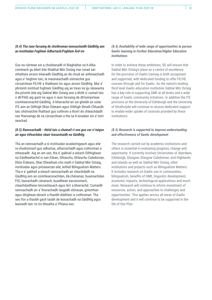#### *(8.4) Tha raon farsaing de chothroman ionnsachaidh Gàidhlig ann an institiudan Foghlam Adhartach/Foghlam Àrd-ìre*

Gus na rùintean sin a choileanadh nì Riaghaltas na h-Alba cinnteach gu bheil àite Shabhal Mòr Ostaig mar ionad sàrmhathais airson trèanadh Gàidhlig an dà chuid air aithneachadh agus a' faighinn taic, le maoineachadh sònraichte gus cùrsaichean FE/HE a thabhann tro agus airson Gàidhlig. Mar a' phrìomh institiud foghlam Gàidhlig aig an treas ìre gu nàiseanta tha prìomh àite aig Sabhal Mòr Ostaig ann a bhith a' cumail taic ri dh'FhtG aig gach ìre agus ri raon farsaing de dh'iomairtean coimhearsnachd Gàidhlig. A bharrachd air sin gheibh an solar ITE ann an Oilthigh Dhùn Èideann agus Oilthigh Shrath Chluaidh taic shònraichte fhathast gus cothrom a thoirt do chleachdadh nas fharsainge de na cùrsaichean a tha na h-ionadan sin a' toirt seachad.

#### *(8.5) Rannsachadh - thèid taic a chumail ri seo gus cur ri tuigse air agus èifeachdas obair leasachaidh na Gàidhlig*

Tha an rannsachadh a nì institiudan acadaimigeach agus eile ro-chudromach gus adhartas, atharrachadh agus cothroman a mheasadh. Aig an am seo, tha e' gabhail a-steach Oilthighean na Gàidhealtachd is nan Eilean, Ghlaschu, Ghlaschu Caledonian, Dhùn Èideann, Obar Dheathain cho math ri Sabhal Mòr Ostaig, institiudan agus pròiseactan eile, leithid Bilingualism Matters. Tha e a' gabhail a-steach rannsachadh air cleachdadh na Gàidhlig ann an coimhearsnachdan, dà-chànanas, buannachdan FtG, leasachadh cànanach, buaidhean eaconomach, cleachdaidhean teicneòlasach agus tòrr a bharrachd. Cumaidh rannsachadh air a' fiosrachadh tasgadh stòrasan, gnìomhan agus dòighean-obrach a thaobh dùbhlain is cothroman. Tha seo fìor a thaobh gach taobh de leasachadh na Gàidhlig agus leanaidh taic ris tro bheatha a' Phlana seo.

#### *(8.4) Availability of wide range of opportunities to pursue Gaelic learning in Further Education/Higher Education institutions*

In order to achieve these ambitions, SG will ensure that Sabhal Mòr Ostaig's place as a centre of excellence for the provision of Gaelic training is both recognised and supported, with dedicated funding to offer FE/HE courses through and for Gaelic. As the nation's leading third level Gaelic education institution Sabhal Mòr Ostaig has a key role in supporting GME at all levels and a wide range of Gaelic community initiatives. In addition the ITE provision at the University of Edinburgh and the University of Strathclyde will continue to receive dedicated support to enable wider uptake of coutrses provided by these institutions.

#### *(8.5) Research is supported to improve understanding and effectiveness of Gaelic development*

The research carried out by academic institutions and others is essential in evaluating progress, change and opportunity. It currently involves Universities of Aberdeen, Edinburgh, Glasgow, Glasgow Caledonian, and Highlands and Islands as well as Sabhal Mòr Ostaig, other institutions and projects such as Bilingualism Matters. It includes research on Gaelic use in communities, bilingualism, benefits of GME, linguistic development, economic impacts, technological applications and much more. Research will continue to inform investment of resources, action, and approaches to challenges and opportunities. This applies across all areas of Gaelic development and it will continue to be supported in the life of this Plan.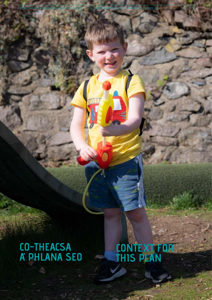## **CO-THEACSA A' PHLANA SEO**

**CONTEXT FOR THIS PLAN**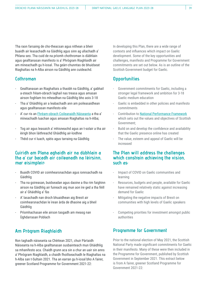Tha raon farsaing de cho-theacsan agus nithean a bheir buaidh air leasachadh na Gàidhlig agus sinn ag ullachadh a' Phlana seo. Tha cuid de na prìomh chothroman is dùbhlain agus gealltanasan manifesto is a' Phrògram Riaghlaidh air am mìneachadh gu h-ìosal. Tha geàrr-chunntas de bhuidseat Riaghaltas na h-Alba airson na Gàidhlig ann cuideachd.

#### **Cothroman**

- Gealltanasan an Riaghaltais a thaobh na Gàidhlig, a' gabhail a-steach frèam-obrach laghail nas treasa agus amasan airson foghlam tro mheadhan na Gàidhlig bho aois 3-18
- Tha a' Ghàidhlig air a leabachadh ann am poileasaidhean agus gealltanasan manifesto eile
- A' cur ris an [Fhrèam-obrach Coileanaidh Nàiseanta](https://nationalperformance.gov.scot/) a tha a' mìneachadh luachan agus amasan Riaghaltas na h-Alba;
- Tog air agus leasaich a' mhisneachd agus an t-solair a tha air èirigh bhon làithreachd Ghàidhlig air-loidhne
- Thèid cur ri luach, spèis agus tarraing na Gàidhlig

#### **Cuiridh am Plana aghaidh air na dùbhlain a tha a' cur bacadh air coileanadh na lèirsinn, mar eisimpleir:**

- Buaidh COVID air coimhearsnachdan agus ionnsachadh na Gàidhlig
- Tha na goireasan, buidseadan agus daoine a tha rim faighinn airson na Gàidhlig air fuireach aig mun aon ìre ged a tha fèill air a' Ghàidhlig a' fàs
- A' lasachadh nan droch bhuaidhean aig Brexit air coimhearsnachdan le ìrean àrda de dhaoine aig a bheil Gàidhlig
- Prìomhachasan eile airson tasgadh am measg nan Ùghdarrasan Poblach

### **Am Prògram Riaghlaidh**

Ron taghadh nàiseanta sa Chèitean 2021, chuir Pàrtaidh Nàiseanta na h-Alba gealltanasan susbainteach mun Ghàidhlig sa mhanifesto aca. Chaidh grunn aca sin a chur an uair sin anns a' Phrògram Riaghlaidh, a chaidh fhoillseachadh le Riaghaltas na h-Alba san t-Sultain 2021. Tha an earran gu h-ìosal bho A fairer, greener Scotland Programme for Government 2021-22:

In developing this Plan, there are a wide range of contexts and influences which impact on Gaelic development. Some of the key opportunities and challenges, manifesto and Programme for Government commitments are set out below. As is an outline of the Scottish Government budget for Gaelic.

### **Opportunities**

- Government commitments for Gaelic, including a stronger legal framework and ambition for 3-18 Gaelic medium education
- Gaelic is embedded in other policies and manifesto commitments
- Contribution to [National Performance Framework](https://nationalperformance.gov.scot/) which sets out the values and objectives of Scottish Government;
- Build on and develop the confidence and availability that the Gaelic presence online has created
- The value, esteem and appeal of Gaelic will be increased

#### **The Plan will address the challenges which constrain achieving the vision, such as:**

- Impact of COVID on Gaelic communities and learning
- Resources, budgets and people, available for Gaelic have remained relatively static against increasing demand for Gaelic
- Mitigating the negative impacts of Brexit on communities with high levels of Gaelic speakers
- Competing priorities for investment amongst public authorities

#### **Programme for Government**

Prior to the national election of May 2021, the Scottish National Party made significant commitments for Gaelic in their manifesto. Many of these were then included in the Programme for Government, published by Scottish Government in September 2021. This extract below is from A fairer, greener Scotland Programme for Government 2021-22: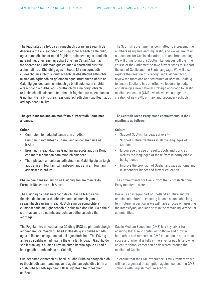Tha Riaghaltas na h-Alba air rùnachadh cur ris an àireamh de dhaoine a tha a' cleachdadh agus ag ionnsachadh na Gàidhlig, agus cumaidh sinn ar taic ri foghlam, ealainean agus craoladh na Gàidhlig. Bheir sinn air adhart Bile nan Cànan Albannach tro bheatha na Pàrlamaid gus ceuman a bharrachd gus taic a chumail ris a' Ghàidhlig agus ri Scots. Nì sinn sgrùdadh cuideachd air a bhith a' cruthachadh Gàidhealtachd aithnichte, nì sinn ath-sgrùdadh air gnìomhan agus structairean Bhòrd na Gàidhlig gus dèanamh cinnteach gu bheil buidheann stiùiridh èifeachdach aig Alba, agus cruthaichidh sinn dòigh-obrach ro-innleachdail nàiseanta ùr a thaobh foghlam tro mheadhan na Gàidhlig (FtG) a bhrosnaicheas cruthachadh bhun-sgoiltean agus àrd-sgoiltean FtG ùra.

#### **Tha gealltanasan ann am manifesto a' Phàrtaidh Uaine mar a leanas:**

#### **Cultar**

- Cùm taic ri iomadachd cànan ann an Alba
- Cùm taic ri iomairtean cultarail ann an cànanan uile na h-Alba
- Brosnaich cleachdadh na Gàidhlig, na Scots agus na Doric cho math ri cànanan nam mion-chinnidhean
- Thoir piseach air solarachadh airson na Gàidhlig aig an taigh agus ann am foghlam san àrd-sgoil agus ann am foghlam adhartach is àrd-ìre.

Bha na gealltanasan airson na Gàidhlig ann am manifesto Pàrtaidh Nàiseanta na h-Alba:

Tha Gàidhlig na pàirt riatanach de chultar na h-Alba agus tha sinn dealasach a thaobh dèanamh cinnteach gum bi i seasmhach san àm ri teachd. Bidh sinn gu sònraichte a' cuimseachadh air lùghdachadh a' ghluasaid don Bheurla a tha a' sìor fhàs anns na coimhearsnachdan dùthchasach a tha air fhàgail.

Tha Foghlam tro mheadhan na Gàidhlig (FtG) na phrìomh dhòigh air dèanamh cinnteach gu bheil a' Ghàidhlig a' soirbheachadh agus a' fàs ann an sgìrean bailteil agus dùthchail. Tha FtG aig an ìre as soirbheachail nuair a tha e na làn bhogadh Gàidhlig do sgoilearan, agus nuair as urrainn cùrsa-beatha sgoile air fad a lìbhrigeadh tro mheadhan na Gàidhlig.

Gus dèanamh cinnteach gu bheil FtG dha-rìribh na bhogadh bidh ro-thaobhadh san fharsaingeachd againn an aghaidh a bhith a' co-shuidheachadh sgoiltean FtG le sgoiltean tro mheadhan na Beurla.

The Scottish Government is committed to increasing the numbers using and learning Gaelic, and we will maintain our support for Gaelic education, arts and broadcasting. We will bring forward a Scottish Languages Bill over the course of the Parliament to take further steps to support the use of Gaelic and the Scots language. We will also explore the creation of a recognised Gàidhealtachd, review the functions and structures of Bòrd na Gàidhlig to ensure Scotland has an effective leadership body, and develop a new national strategic approach to Gaelic medium education (GME) which will encourage the creation of new GME primary and secondary schools.

#### **The Scottish Green Party made commitments in their manifesto as follows:**

#### **Culture**

- Support Scottish language diversity
- Support cultural ventures in all the languages of **Scotland**
- Encourage the use of Gaelic, Scots and Doric as well as the languages of those from minority ethnic backgrounds
- Improve the provision of Gaelic language at home and in secondary, higher and further education.

The commitments for Gaelic from the Scottish National Party manifesto were:

Gaelic is an integral part of Scotland's culture and we remain committed to ensuring it has a sustainable longterm future. In particular we will have a focus on arresting the intensifying language shift in the remaining vernacular communities.

Gaelic Medium Education (GME) is a key driver for ensuring that Gaelic continues to thrive and grow in both urban and rural areas. GME education is at its most successful when it is fully immersive for pupils, and when an entire school career can be delivered through the medium of Gaelic.

To ensure that the GME experience is truly immersive we will have a general presumption against co-locating GME schools with English medium schools.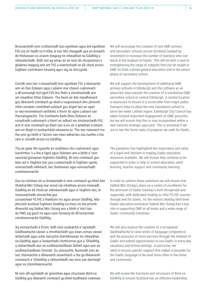Brosnaichidh sinn cruthachadh bun-sgoiltean agus àrd-sgoiltean FtG ùra air feadh na h-Alba, le taic bho thasgadh gus an àireamh de thidsearan as urrainn teagasg tro mheadhan na Gàidhlig a mheudachadh. Bidh seo ag amas air an raon de chuspairean a ghabhas teagasg ann am FtG a neartachadh an dà chuid airson foghlam coitcheann farsaing agus aig ìre àrd-sgoile.

Cuiridh sinn taic ri leasachadh bun-sgoiltean FtG a bharrachd ann an Dùn Èideann agus Lodainn mar cheum cudromach a dh'ionnsaigh àrd-sgoil FtG leis fhèin a chruthachadh ann am meadhan Dhùn Èideann. Tha feum air àite meadhanach gus dèanamh cinnteach gu bheil e ruigsinneach bho phrìomh mhòr-ionadan còmhdhail poblach gus leigeil leis an sgoil ùr neo-eisimeileach seirbheis a thoirt do sgìre Lodainn san fharsaingeachd. Tha Comhairle Baile Dhùn Èideann air conaltradh cudromach a thoirt air adhart mu sholarachadh FtG, ach nì sinn cinnteach gu bheil seo a-nis air a ghabhail a-steach ann an dòigh ro-innleachdail nàiseanta ùr. Tha seo riatanach ma tha sinn gu bhith a' faicinn nan ìrean adhartais nas luaithe a tha sinn a' sireadh airson na Gàidhlig.

Tha an galar lèir-sgaoilte air sealltainn cho cudromach agus luachmhor 's a tha e-Sgoil agus Stòrlann ann a bhith a' toirt seachad goireasan foghlaim Gàidhlig. Nì sinn cinnteach gun lean iad a' faighinn taic gus cuideachadh le foghlam sgoile, ionnsachadh inbheach, taic thidsearan agus ionnsachadh coimhearsnachd.

Gus na rùintean sin a choileanadh nì sinn cinnteach gu bheil àite Shabhal Mòr Ostaig mar ionad sàr-mhathais airson trèanadh Gàidhlig an dà chuid air aithneachadh agus a' faighinn taic, le maoineachadh sònraichte gus cùrsaichean FE/HE a thabhann tro agus airson Gàidhlig. Mar

phrìomh institiud foghlaim Gàidhlig na treas ìre tha prìomh dhreuchd aig Sabhal Mòr Ostaig ann a bhith a' toirt taic do FMG aig gach ìre agus raon farsaing de dh'iomairtean coimhearsnachd Gàidhlig.

Ag ionnsachadh à Èirinn, bidh sinn cuideachd a' sgrùdadh Gàidhealtachd cànain a chruthachadh gus ìrean comas cànain àrdachadh agus solar barrachd sheirbheisean tro mheadhan na Gàidhlig agus a' leudachadh chothroman gus a' Ghàidhlig a chleachdadh ann an suidheachaidhean làitheil agus ann an suidheachaidhean foirmeil. Gu sònraichte, feumaidh sinn an taic shònraichte a dhèanamh seasmhach a tha ga dhèanamh comasach a' Ghàidhlig a chleachdadh nas trice san dachaigh agus sa choimhearsnachd.

Nì sinn ath-sgrùdadh air gnìomhan agus structaran Bòrd na Gàidhlig gus dèanamh cinnteach gu bheil buidheann ceannais We will encourage the creation of new GME primary and secondary schools across Scotland, backed by investment to increase the number of teachers who can teach in the medium of Gaelic. This will be with a view to strengthening the range of subjects that can be taught in GME for both a broad general education and in the senior phase of secondary school.

We will support the development of additional GME primary schools in Edinburgh and the Lothians as an important step towards the creation of a standalone GME secondary school in central Edinburgh. A central location is necessary to ensure it is accessible from major public transport hubs to allow the new standalone school to serve the wider Lothian region. Edinburgh City Council has taken forward important engagement on GME provision, but we will ensure that this is now incorporated within a new national strategic approach. This is essential if we are to see the faster rates of progress we seek for Gaelic.

The pandemic has highlighted the importance and value of e-Sgoil and Stòrlann in making Gaelic education resources available. We will ensure they continue to be supported in order to help in school education, adult learning, teacher support and community learning.

In order to achieve these ambitions we will ensure that Sabhal Mòr Ostaig's place as a centre of excellence for the provision of Gaelic training is both recognised and supported, with dedicated funding to offer FE/HE courses through and for Gaelic. As the nation's leading third level Gaelic education institution Sabhal Mòr Ostaig has a key role in supporting GME at all levels and a wide range of Gaelic community initiatives.

We will also explore the creation of a recognised Gàidhealtachd to raise levels of language competence and the provision of more services through the medium of Gaelic and extend opportunities to use Gaelic in every-day situations and formal settings. In particular, we need to ensure specific support that makes it possible for the Gaelic language to be used more often in the home and community.

We will review the functions and structures of Bòrd na Gàidhlig to ensure Scotland has an effective leadership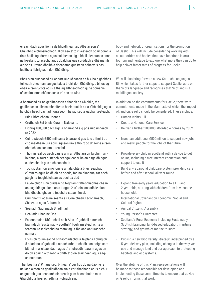èifeachdach agus lìonra de bhuidhnean aig Alba airson a' Ghàidhlig a bhrosnachadh. Bidh seo a' toirt a-steach obair còmhla ris a h-uile ùghdarras agus buidheann aig a bheil dleastanas anns na h-ealain, turasachd agus dualchas gus sgrùdadh a dhèanamh air dè as urrainn dhaibh a dhèanamh gus ìrean adhartais nas luaithe a lìbhrigeadh don Ghàidhlig.

Bheir sinn cuideachd air adhart Bile Cànanan na h-Alba a ghabhas tuilleadh cheumannan gus taic a thoirt don Ghàidhlig, a bhios ag obair airson Scots agus a tha ag aithneachadh gur e comannsòisealta ioma-chànanach a th' ann an Alba.

A bharrachd air na gealltanasan a thaobh na Gàidhlig, tha gealltanasan eile sa mhanifesto bheir buaidh air a' Ghàidhlig agus bu chòir beachdachadh orra seo. Tha iad seo a' gabhail a-steach:

- Bile Chòraichean Daonna
- Cruthaich Seirbheis Cùraim Nàiseanta
- Lìbhrig 100,000 dachaigh a bharrachd aig prìs ruigsinneach ro 2032
- Cuir a-steach £500 millean a bharrachd gus taic a thoirt do chosnaidhean ùra agus sgilean ùra a thoirt do dhaoine airson obraichean san àm ri teachd
- Thoir inneal do gach pàiste ann an Alba airson faighinn airloidhne, a' toirt a-steach ceangal eadar-lìn an-asgaidh agus cuideachadh gus a chleachdadh
- Tog siostam cùram-cloinne amalaichte a bheir seachad cùram ro agus às dèidh na sgoile, fad na bliadhna, far nach pàigh na teaghlaichean as bochda dad
- Leudaichidh sinn cuideachd foghlam tràth-bhliadhnaichean an-asgaidh gu clann aois 1 agus 2, a' tòiseachadh le clann bho dhachaighean le teachd-a-steach ìosal.
- Cùmhnant Eadar-nàiseanta air Còraichean Eaconamach, Sòisealta agus Cultarach
- Seanadh Saoranach Bliadhnail
- Gealladh Dhaoine Òga
- Eaconomaidh Dhùthchail na h-Alba, a' gabhail a-steach branndadh 'Sustainably Scottish', foghlam stèidhichte air fearann, ro-innleachd na mara; agus fàs ann an turasachd na mara
- Foillsich ro-innleachd bith-iomadachd ùr le plana lìbhrigidh 5-bliadhna, a' gabhail a-steach atharrachadh san dòigh sam bith sinn a' cleachdadh agus a' stiùireadh fearann agus an dòigh againn a thaobh a bhith a' dìon àrainnean agus eagshiostaman.

Thar beatha a' Phlana seo, bithear a' cur fios do na daoine le uallach airson na geallaidhean sin a chruthachadh agus a chur an gnìomh gus dèanamh cinnteach gum bi comhairle mun Ghàidhlig a' fiosrachadh na h-obrach sin.

body and network of organisations for the promotion of Gaelic. This will include considering working with all authorities and bodies that have functions in arts, tourism and heritage to explore what more they can do to help deliver faster rates of progress for Gaelic.

We will also bring forward a new Scottish Languages Bill which takes further steps to support Gaelic, acts on the Scots language and recognises that Scotland is a multilingual society.

In addition, to the commitments for Gaelic, there were commitments made in the Manifesto of which the impact of, and on, Gaelic should be considered. These include:

- Human Rights Bill
- Create a National Care Service
- Deliver a further 100,000 affordable homes by 2032
- Invest an additional £500million to support new jobs and reskill people for the jobs of the future
- Provide every child in Scotland with a device to get online, including a free internet connection and support to use it
- Build a wraparound childcare system providing care before and after school, all year round
- Expand free early years education to all 1- and 2-year-olds, starting with children from low income households
- International Covenant on Economic, Social and Cultural Rights
- Annual Citizens' Assembly
- Young Person's Guarantee
- Scotland's Rural Economy including Sustainably Scottish branding; land-based education; maritime strategy; and growth of marine tourism
- Publish a new biodiversity strategy underpinned by a 5-year delivery plan, including changes in the way we use and manage land and our approach to protecting habitats and ecosystems.

Over the lifetime of this Plan, representations will be made to those responsible for developing and implementing these commitments to ensure that advice on Gaelic informs that work.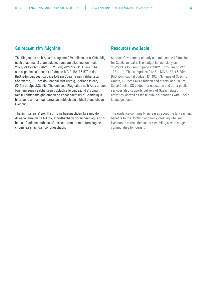#### **Goireasan rim faighinn**

Tha Riaghaltas na h-Alba a' cosg mu £29 millean air a' Ghàidhlig gach bliadhna. 'S e am buidseat ann am bliadhna ionmhais 2022/23 £29.6m (20/21 - £27.9m, 2021/22 - £31.1m). Tha seo a' gabhail a-steach £12.8m do MG ALBA, £5.679m do BnG, £4m buidseat calpa, £4.482m Sgeama nan Tabhartasan Sònraichte, £2.15m do Shabhal Mòr Ostaig, Stòrlann is eile, £0.5m do SpeakGaelic. Tha buidseat Riaghaltas na h-Alba airson foghlam agus seirbheisean poblach eile cuideachd a' cumail taic ri lìbhrigeadh ghnìomhan co-cheangailte ris a' Ghàidhlig, a bharrachd air na h-ùghdarrasan poblach aig a bheil planaichean Gàidhlig.

Tha an fhianais a' sìor fhàs mu na buannachdan farsaing do dh'eaconamaidh na h-Alba, a' cruthachadh obraichean agus bithbeò air feadh na dùthcha, a' toirt cothrom do raon farsaing de choimhearsnachdan soirbheachadh.

#### **Resources available**

Scottish Government already commits some £29million for Gaelic annually. The budget in financial year 2022/23 is £29.6m ( Spend in 20/21 - £27.9m, 21/22 - £31.1m). This comprises £12.8m MG ALBA, £5.25m BnG; £4m capital budget, £4.482m Scheme of Specific Grants, £2.15m SMO, Stòrlann and others, and £0.5m SpeakGaelic. SG budget for education and other public services also supports delivery of Gaelic-related activities, as well as those public authorities with Gaelic language plans.

The evidence continually increases about the far-reaching benefits to the Scottish economy, creating jobs and livelihoods across the country, enabling a wide range of communities to flourish.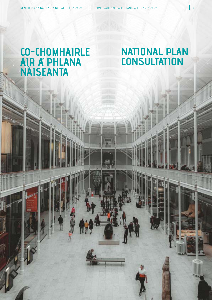### **CO-CHOMHAIRLE AIR A' PHLANA NÀISEANTA**

## **NATIONAL PLAN CONSULTATION**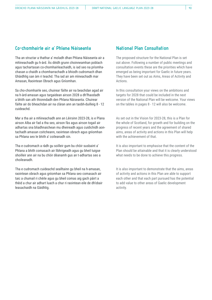#### **Co-chomhairle air a' Phlana Nàiseanta**

Tha an structar a thathar a' moladh dhan Phlana Nàiseanta air a mhìneachadh gu h-àrd. Às dèidh grunn choinneamhan poblach agus tachartasan co-chomhairleachaidh, is iad seo na prìomhachasan a chaidh a chomharrachadh a bhiodh cudromach dhan Ghàidhlig san àm ri teachd. Tha iad air am mìneachadh mar Amasan, Raointean Obrach agus Gnìomhan.

Sa cho-chomhairle seo, chuirear fàilte air na beachdan agad air na h-àrd-amasan agus targaidean airson 2028 a dh'fhaodadh a bhith san ath thionndadh den Phlana Nàiseanta. Chuirear fàilte air do bheachdan air na clàran ann an taobh-duilleig 8 - 12 cuideachd.

Mar a tha air a mhìneachadh ann an Lèirsinn 2023-28, is e Plana airson Alba air fad a tha seo, airson fàs agus airson togail air adhartas sna bliadhnaichean mu dheireadh agus cuidichidh aontachadh amasan coitcheann, raointean obrach agus gnìomhan sa Phlana seo le bhith a' coileanadh sin.

Tha e cudromach a ràdh gu soilleir gum bu chòir susbaint a' Phlana a bhith comasach air lìbhrigeadh agus gu bheil tuigse shoilleir ann air na bu chòir dèanamh gus an t-adhartas seo a choileanadh.

Tha e cudromach cuideachd sealltainn gu bheil na h-amasan, raointean obrach agus gnìomhan sa Phlana seo comasach air taic a chumail ri chèile agus gu bheil comas aig gach pàirt a thèid a chur air adhart luach a chur ri raointean eile de dh'obair leasachaidh na Gàidhlig.

#### **National Plan Consultation**

The proposed structure for the National Plan is set out above. Following a number of public meetings and consultation events these are the priorities which have emerged as being important for Gaelic in future years. They have been set out as Aims, Areas of Activity and Actions.

In this consultation your views on the ambitions and targets for 2028 that could be included in the next version of the National Plan will be welcome. Your views on the tables in pages 8 - 12 will also be welcome.

As set out in the Vision for 2023-28, this is a Plan for the whole of Scotland, for growth and for building on the progress of recent years and the agreement of shared aims, areas of activity and actions in this Plan will help with the achievement of that.

It is also important to emphasise that the content of the Plan should be attainable and that it is clearly understood what needs to be done to achieve this progress.

It is also important to demonstrate that the aims, areas of activity and actions in this Plan are able to support each other and that each part pursued has the potential to add value to other areas of Gaelic development activity.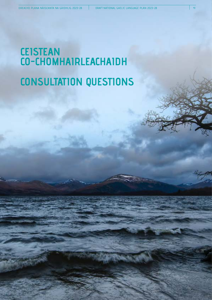## **CONSULTATION QUESTIONS CEISTEAN CO-CHOMHAIRLEACHAIDH**